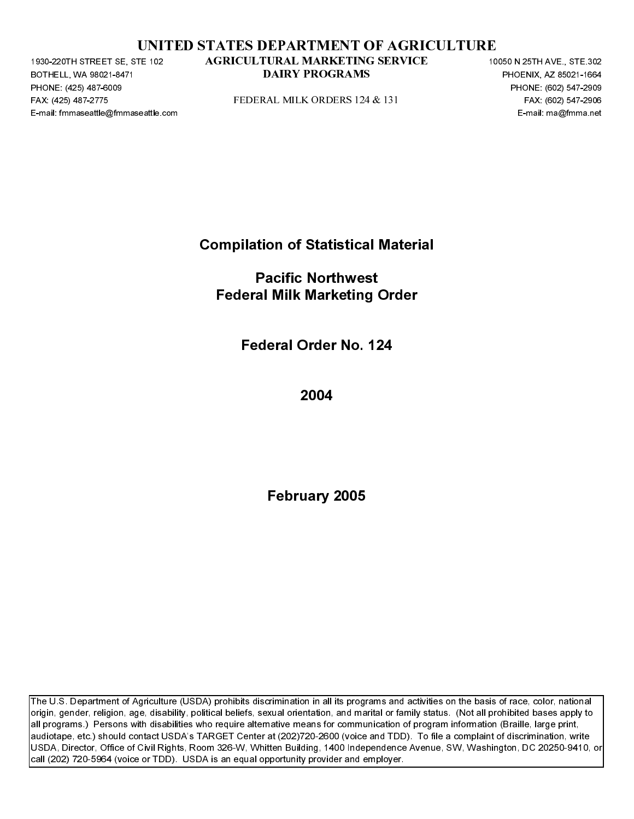|  | UNITED STATES DEPARTMENT OF AGRICULTURE |  |  |
|--|-----------------------------------------|--|--|
|  |                                         |  |  |

BOTHELL, WA 98021-8471<br>BOTHELL, WA 98021-8471<br>PHONE: (425) 487-6009<br>FAX: (425) 487-6009<br>E-mail: fmmaseattle@fmmaseattle.c PHONE: (425) 487-6009<br>FAX: (425) 487-6009<br>FAX: (425) 487-2775<br>E-mail: fmmaseattle@fmma FAX: (425) 487-2271 STATED STATES DEPARTMENT OF AGRICULTURE<br>
FAX: (425) 487-1476-2 AGRICULTURAL MARKEITING SERVICE<br>
FOR CHEMIC AND TRIGGER AND TRIGGER AND TRIGGER OF A CHEMIC CHEMIC CONSTRUCT<br>
FAX: (602) 547-2775<br>
FAX: (6

Compilation of Statistical Material

PEDERAL MILK ORDERS 124 & 131 FAX (602) 547-2909<br>
PEDERAL MILK ORDERS 124 & 131 FAX (602) 547-2909<br>
PEDERAL MILK ORDERS 124 & 131<br>
PEDERAL MILK Marketing Order<br>
PEDERAL MILK Marketing Order<br>
PEDERAL MILK Marketing Order<br>
P E-mail: Fmacific Northwest<br>Federal Milk Marketing Order<br>Federal Order No. 124<br>2004<br>February 2005 Pacific Northwest Federal Milk Marketing Order

Federal Order No. 124

2004

February 2005

**DAIRY PROGRAMS**<br>
PHONE, 6033611485<br>
PEDERAL MILK ORDERS 124-8, 131<br>
PROGRAM MARKETING THE SERVICE 10050 N 2505<br>
FAGRICULTURAL MARKETING DYTER<br> **FEDERAL MICHAETER CONTINUES**<br> **FEDERAL MARKETING OPTER**<br> **FEDERAL MARKETING** Extra (802)<br>
DAIRY PROGRAMS PROGRAMS PROGRAMS PROGRAMS PROGRAMS PROGRAMS PROGRAMS PROGRAMS<br>
DRIGHT CONTINUES PROGRAMS PROGRAMS PROGRAMS PROGRAMS PROGRAMS PROGRAMS PROGRAMS PROGRAMS PROGRAMS CONTINUES PROGRAMS CONTINUES PRO The U.S. Department of Agriculture (USDA) prohibits discrimination in all its programs and activities on the basis of race, color, national origin, gender, religion, age, disability, political beliefs, sexual orientation, and marital or family status. (Not all prohibited bases apply to all programs.) Persons with disabilities who require alternative means for communication of program information (Braille, large print, audiotape, etc.) should contact USDA's TARGET Center at (202)720-2600 (voice and TDD). To file a complaint of discrimination, write USDA, Director, Office of Civil Rights, Room 326-W, Whitten Building, 1400 Independence Avenue, SW, Washington, DC 20250-9410, or call (202) 720-5964 (voice or TDD). USDA is an equal opportunity provider and employer. TE-32<br>
AGRICULTURAL MARKETTING SERVICE<br>
DAIRY PROGRAMS<br>
PLUBERAL MILK ORDERS 124 & 131<br>
Compilation of Statistical Material<br>
Pacific Northwest<br>
Federal Milk Marketing Order<br>
Federal Order No. 124<br>
2004<br>
Pebruary 2005<br>
Febr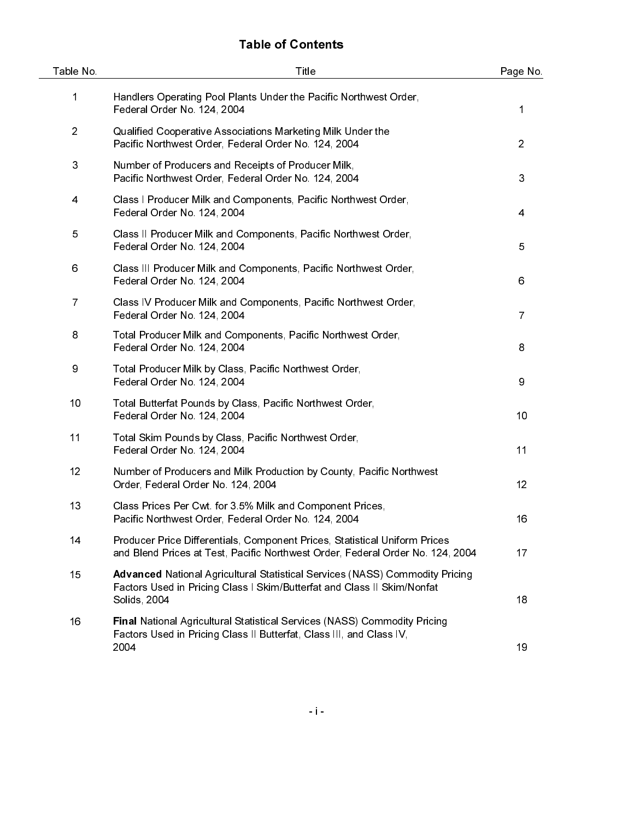# Table of Contents

| Table No.      | Title                                                                                                                                                                          | Page No.       |
|----------------|--------------------------------------------------------------------------------------------------------------------------------------------------------------------------------|----------------|
| 1              | Handlers Operating Pool Plants Under the Pacific Northwest Order,<br>Federal Order No. 124, 2004                                                                               | 1              |
| $\overline{2}$ | Qualified Cooperative Associations Marketing Milk Under the<br>Pacific Northwest Order, Federal Order No. 124, 2004                                                            | $\overline{2}$ |
| 3              | Number of Producers and Receipts of Producer Milk,<br>Pacific Northwest Order, Federal Order No. 124, 2004                                                                     | 3              |
| 4              | Class I Producer Milk and Components, Pacific Northwest Order,<br>Federal Order No. 124, 2004                                                                                  | 4              |
| 5              | Class II Producer Milk and Components, Pacific Northwest Order,<br>Federal Order No. 124, 2004                                                                                 | 5              |
| 6              | Class III Producer Milk and Components, Pacific Northwest Order,<br>Federal Order No. 124, 2004                                                                                | 6              |
| $\overline{7}$ | Class IV Producer Milk and Components, Pacific Northwest Order,<br>Federal Order No. 124, 2004                                                                                 | $\overline{7}$ |
| 8              | Total Producer Milk and Components, Pacific Northwest Order,<br>Federal Order No. 124, 2004                                                                                    | 8              |
| 9              | Total Producer Milk by Class, Pacific Northwest Order,<br>Federal Order No. 124, 2004                                                                                          | 9              |
| 10             | Total Butterfat Pounds by Class, Pacific Northwest Order,<br>Federal Order No. 124, 2004                                                                                       | 10             |
| 11             | Total Skim Pounds by Class, Pacific Northwest Order,<br>Federal Order No. 124, 2004                                                                                            | 11             |
| 12             | Number of Producers and Milk Production by County, Pacific Northwest<br>Order, Federal Order No. 124, 2004                                                                     | 12             |
| 13             | Class Prices Per Cwt for 3.5% Milk and Component Prices,<br>Pacific Northwest Order, Federal Order No. 124, 2004                                                               | 16             |
| 14             | Producer Price Differentials, Component Prices, Statistical Uniform Prices<br>and Blend Prices at Test, Pacific Northwest Order, Federal Order No. 124, 2004                   | 17             |
| 15             | <b>Advanced National Agricultural Statistical Services (NASS) Commodity Pricing</b><br>Factors Used in Pricing Class I Skim/Butterfat and Class II Skim/Nonfat<br>Solids, 2004 | 18             |
| 16             | Final National Agricultural Statistical Services (NASS) Commodity Pricing<br>Factors Used in Pricing Class II Butterfat, Class III, and Class IV,<br>2004                      | 19             |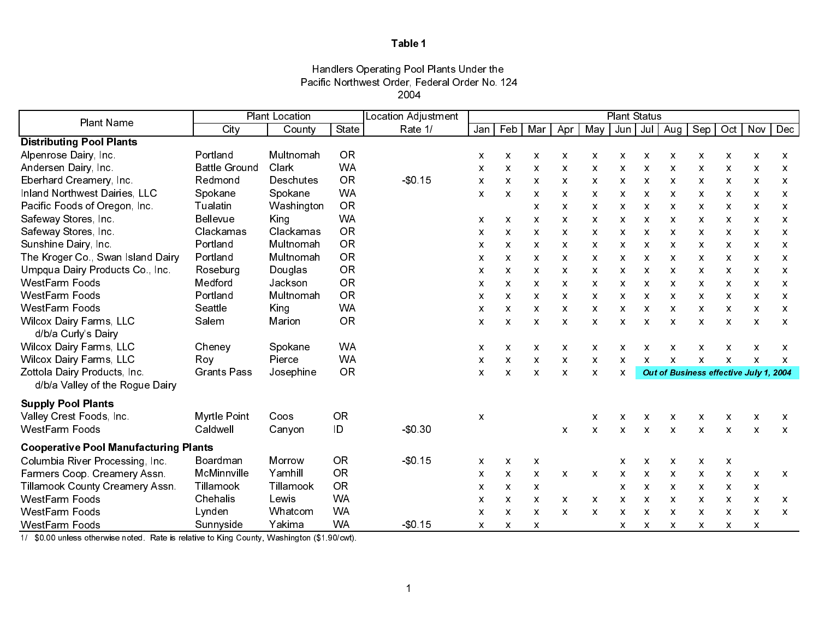### Handlers Operating Pool Plants Under the Pacific Northwest Order, Federal Order No. 124 2004

| <b>Plant Name</b>                                     |                      | <b>Plant Location</b> |           | Location Adjustment |                           |              |                           |                           |                           | <b>Plant Status</b> |                           |                           |                                        |              |                           |                           |
|-------------------------------------------------------|----------------------|-----------------------|-----------|---------------------|---------------------------|--------------|---------------------------|---------------------------|---------------------------|---------------------|---------------------------|---------------------------|----------------------------------------|--------------|---------------------------|---------------------------|
|                                                       | City                 | County                | State     | Rate 1/             |                           | $Jan$ Feb    | Mar                       | Apr                       | May                       | Jun                 |                           | Jul   Aug                 | Sep                                    |              | $Oct$ Nov                 | <b>Dec</b>                |
| <b>Distributing Pool Plants</b>                       |                      |                       |           |                     |                           |              |                           |                           |                           |                     |                           |                           |                                        |              |                           |                           |
| Alpenrose Dairy, Inc.                                 | Portland             | Multnomah             | <b>OR</b> |                     | X                         | X            | X                         | X                         | X                         | X                   | $\boldsymbol{\mathsf{x}}$ | X                         | X                                      | X            | $\boldsymbol{\mathsf{x}}$ | X                         |
| Andersen Dairy, Inc.                                  | <b>Battle Ground</b> | Clark                 | <b>WA</b> |                     | X                         | X            | X                         | X                         | $\boldsymbol{\mathsf{x}}$ | X                   | X                         | $\mathsf{x}$              | X                                      | X            | $\boldsymbol{\mathsf{x}}$ | $\boldsymbol{\mathsf{x}}$ |
| Eberhard Creamery, Inc.                               | Redmond              | Deschutes             | <b>OR</b> | \$0,15              | $\boldsymbol{\mathsf{X}}$ | $\mathsf{x}$ | $\mathsf{x}$              | $\mathsf{x}$              | $\boldsymbol{\mathsf{X}}$ | X.                  | $\boldsymbol{\mathsf{X}}$ | $\mathsf{x}$              | X                                      | $\mathsf{X}$ | $\boldsymbol{\mathsf{X}}$ | $\boldsymbol{\mathsf{x}}$ |
| <b>Inland Northwest Dairies, LLC</b>                  | Spokane              | Spokane               | <b>WA</b> |                     | X                         | $\pmb{\chi}$ | X                         | X                         | X                         | X                   | X                         | $\mathsf{x}$              | X                                      | X            | X                         | X                         |
| Pacific Foods of Oregon, Inc.                         | Tualatin             | Washington            | <b>OR</b> |                     |                           |              | $\boldsymbol{\mathsf{X}}$ | X                         | $\boldsymbol{\mathsf{X}}$ | X                   | $\boldsymbol{\mathsf{x}}$ | $\boldsymbol{\mathsf{x}}$ | X                                      | X            | $\boldsymbol{\mathsf{x}}$ | $\boldsymbol{\mathsf{x}}$ |
| Safeway Stores, Inc.                                  | <b>Bellevue</b>      | King                  | <b>WA</b> |                     | X                         | $\mathsf{x}$ | $\boldsymbol{\mathsf{x}}$ | X                         | $\boldsymbol{\mathsf{x}}$ | X                   | X                         | X                         | X                                      | X            | $\boldsymbol{\mathsf{x}}$ | $\boldsymbol{\mathsf{x}}$ |
| Safeway Stores, Inc.                                  | Clackamas            | Clackamas             | <b>OR</b> |                     | X                         | $\mathsf{x}$ | $\boldsymbol{\mathsf{X}}$ | X                         | $\boldsymbol{\mathsf{x}}$ | X.                  | $\boldsymbol{\mathsf{x}}$ | X                         | X                                      | X            | $\boldsymbol{\mathsf{x}}$ | $\boldsymbol{\mathsf{x}}$ |
| Sunshine Dairy, Inc.                                  | Portland             | Multnomah             | <b>OR</b> |                     | X                         | $\mathsf{x}$ | X                         | X                         | $\boldsymbol{\mathsf{x}}$ | x                   | X                         | $\mathsf{x}$              | X                                      | X            | X                         | X                         |
| The Kroger Co., Swan Island Dairy                     | Portland             | Multnomah             | <b>OR</b> |                     | $\boldsymbol{\mathsf{x}}$ | X            | $\boldsymbol{\mathsf{X}}$ | X                         | $\boldsymbol{\mathsf{X}}$ | X                   | $\boldsymbol{\mathsf{X}}$ | X                         | X                                      | X            | $\boldsymbol{\mathsf{x}}$ | $\boldsymbol{\mathsf{x}}$ |
| Umpqua Dairy Products Co., Inc.                       | Roseburg             | Douglas               | <b>OR</b> |                     | X                         | X            | $\boldsymbol{\mathsf{x}}$ | X                         | X                         | X                   | X                         | X                         | X                                      | X            | $\boldsymbol{\mathsf{x}}$ | $\boldsymbol{\mathsf{x}}$ |
| WestFarm Foods                                        | Medford              | Jackson               | <b>OR</b> |                     | $\boldsymbol{\mathsf{x}}$ | $\mathsf{X}$ | $\boldsymbol{\mathsf{X}}$ | X                         | $\boldsymbol{\mathsf{x}}$ | X.                  | $\boldsymbol{\mathsf{X}}$ | $\mathsf{x}$              | X                                      | X            | $\boldsymbol{\mathsf{X}}$ | $\boldsymbol{\mathsf{x}}$ |
| WestFarm Foods                                        | Portland             | Multnomah             | OR        |                     | X                         | X.           | X                         | X                         | X                         | x                   | X                         | x                         | X                                      | X            | X                         | X                         |
| WestFarm Foods                                        | Seattle              | King                  | <b>WA</b> |                     | X                         | X            | $\boldsymbol{\mathsf{X}}$ | X                         | $\boldsymbol{\mathsf{x}}$ | X                   | $\boldsymbol{\mathsf{x}}$ | $\boldsymbol{\mathsf{x}}$ | X                                      | X            | $\boldsymbol{\mathsf{x}}$ | $\boldsymbol{\mathsf{x}}$ |
| <b>Wilcox Dairy Farms, LLC</b><br>d/b/a Curly's Dairy | Salem                | Marion                | <b>OR</b> |                     | X                         | X            | $\boldsymbol{\mathsf{x}}$ | $\boldsymbol{\mathsf{x}}$ | X                         | X                   | X                         | $\boldsymbol{\mathsf{x}}$ | X                                      | X            | $\boldsymbol{\mathsf{x}}$ | $\boldsymbol{\mathsf{x}}$ |
| <b>Wilcox Dairy Farms, LLC</b>                        | Cheney               | Spokane               | <b>WA</b> |                     | X                         | $\mathsf{x}$ | X                         | X                         | X                         | X                   | X                         | Χ                         | X                                      | X            | X                         | X                         |
| <b>Wilcox Dairy Farms, LLC</b>                        | Roy                  | Pierce                | <b>WA</b> |                     | X                         | $\mathsf{x}$ | $\mathsf{x}$              | $\mathsf{x}$              | $\boldsymbol{\mathsf{x}}$ | $\mathsf{x}$        | $\mathsf{x}$              | $\boldsymbol{\mathsf{x}}$ | X                                      | X            | $\boldsymbol{\mathsf{x}}$ | $\boldsymbol{\mathsf{x}}$ |
| Zottola Dairy Products, Inc.                          | <b>Grants Pass</b>   | Josephine             | <b>OR</b> |                     | X                         | $\mathsf{x}$ | $\boldsymbol{\mathsf{X}}$ | $\mathsf{x}$              | $\boldsymbol{\mathsf{x}}$ | X                   |                           |                           | Out of Business effective July 1, 2004 |              |                           |                           |
| d/b/a Valley of the Rogue Dairy                       |                      |                       |           |                     |                           |              |                           |                           |                           |                     |                           |                           |                                        |              |                           |                           |
| <b>Supply Pool Plants</b>                             |                      |                       |           |                     |                           |              |                           |                           |                           |                     |                           |                           |                                        |              |                           |                           |
| Valley Crest Foods, Inc.                              | Myrtle Point         | Coos                  | <b>OR</b> |                     | X                         |              |                           |                           | X                         | X                   | X                         | $\boldsymbol{\mathsf{x}}$ | X                                      | X            | X                         | X                         |
| <b>WestFarm Foods</b>                                 | Caldwell             | Canyon                | ID        | \$0,30              |                           |              |                           | X                         | $\boldsymbol{\mathsf{x}}$ | X                   | X                         | $\boldsymbol{\mathsf{X}}$ | $\mathsf{x}$                           | X            | $\boldsymbol{\mathsf{X}}$ | $\boldsymbol{\mathsf{X}}$ |
| <b>Cooperative Pool Manufacturing Plants</b>          |                      |                       |           |                     |                           |              |                           |                           |                           |                     |                           |                           |                                        |              |                           |                           |
| Columbia River Processing, Inc.                       | Boardman             | Morrow                | <b>OR</b> | \$0,15              | $\mathsf{x}$              | $\mathsf{x}$ | $\mathsf{x}$              |                           |                           | X                   | X                         | $\mathsf{x}$              | X                                      | X            |                           |                           |
| Farmers Coop. Creamery Assn.                          | McMinnville          | Yamhill               | <b>OR</b> |                     | $\mathsf{x}$              | $\mathsf{x}$ | $\mathsf{x}$              | $\mathsf{x}$              | $\mathsf{x}$              | $\mathsf{x}$        | $\boldsymbol{\mathsf{x}}$ | $\boldsymbol{\mathsf{X}}$ | X                                      | X            | $\boldsymbol{\mathsf{X}}$ | $\boldsymbol{\mathsf{X}}$ |
| Tillamook County Creamery Assn.                       | Tillamook            | Tillamook             | <b>OR</b> |                     | X                         | $\mathsf{x}$ | $\mathsf{x}$              |                           |                           | X                   | X                         | X                         | X                                      | X            | $\boldsymbol{\mathsf{x}}$ |                           |
| <b>WestFarm Foods</b>                                 | Chehalis             | Lewis                 | <b>WA</b> |                     | X                         | $\mathsf{x}$ | $\mathsf{x}$              | $\mathsf{x}$              | $\mathsf{x}$              | $\mathsf{X}$        | $\boldsymbol{\mathsf{X}}$ | $\mathsf{x}$              | X                                      | $\mathsf{X}$ | $\boldsymbol{\mathsf{x}}$ | $\boldsymbol{\mathsf{x}}$ |
| <b>WestFarm Foods</b>                                 | Lynden               | Whatcom               | <b>WA</b> |                     | X                         | $\mathsf{x}$ | $\mathsf{x}$              | X                         | X                         | X                   | X                         | X                         | X                                      | X            | X                         | X                         |
| <b>WestFarm Foods</b>                                 | Sunnyside            | Yakima                | <b>WA</b> | \$0,15              | $\mathsf{x}$              | $\mathsf{x}$ | $\boldsymbol{\mathsf{X}}$ |                           |                           | X                   | $\boldsymbol{\mathsf{x}}$ | X                         | X                                      | X            | $\boldsymbol{\mathsf{x}}$ |                           |

1/ \$0.00 unless otherwise noted. Rate is relative to King County, Washington (\$1.90/cwt).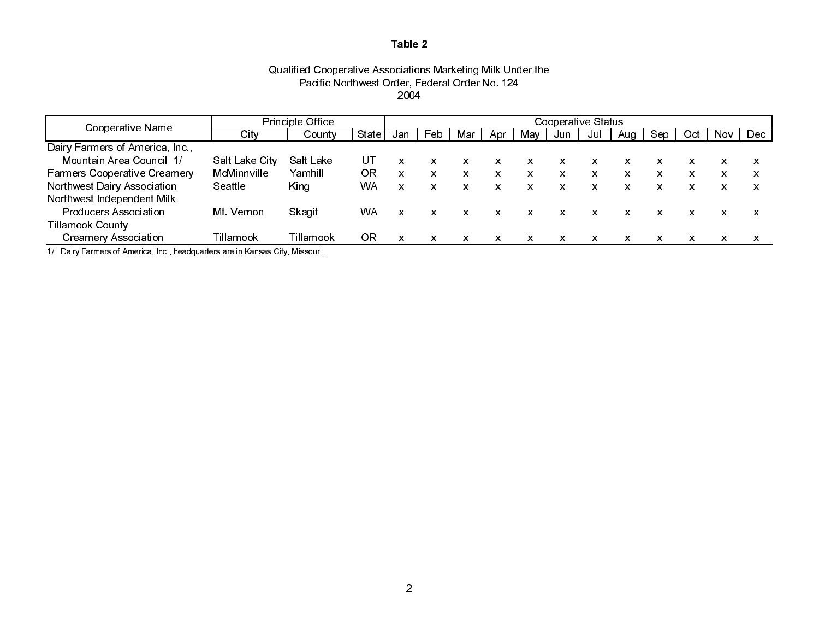### Qualified Cooperative Associations Marketing Milk Under the Pacific Northwest Order, Federal Order No. 124 2004

| Cooperative Name                    | <b>Principle Office</b> |           |       | Cooperative Status |     |     |                           |              |     |     |     |     |                           |      |      |
|-------------------------------------|-------------------------|-----------|-------|--------------------|-----|-----|---------------------------|--------------|-----|-----|-----|-----|---------------------------|------|------|
|                                     | City                    | County    | State | Jan                | Feb | Mar | Apr                       | May          | Jun | Jul | Aua | Sep | Oct                       | Nov. | Dec. |
| Dairy Farmers of America, Inc.,     |                         |           |       |                    |     |     |                           |              |     |     |     |     |                           |      |      |
| Mountain Area Council 1/            | Salt Lake City          | Salt Lake | UΤ    |                    |     |     | x                         | x            | x   | x   | x   |     | x                         | x    |      |
| <b>Farmers Cooperative Creamery</b> | McMinnville             | Yamhill   | ΟR    | X                  |     | x   | $\boldsymbol{\mathsf{x}}$ | x            | x   | X   | x   | X   | x                         | x    | x    |
| Northwest Dairy Association         | Seattle                 | King      | WA    | x                  | X.  | x   | $\mathsf{x}$              | $\mathbf{x}$ | x   | x   | x   | x   | $\boldsymbol{\mathsf{x}}$ | X.   | x    |
| Northwest Independent Milk          |                         |           |       |                    |     |     |                           |              |     |     |     |     |                           |      |      |
| <b>Producers Association</b>        | Mt Vernon               | Skagit    | WA    |                    |     | x   | $\boldsymbol{\mathsf{x}}$ | x            |     |     |     |     |                           |      |      |
| <b>Tillamook County</b>             |                         |           |       |                    |     |     |                           |              |     |     |     |     |                           |      |      |
| <b>Creamery Association</b>         | Tillamook               | Tillamook | ΟR    |                    |     | x   | x                         | x            | x   | x   | x   | x   | x                         | x    |      |

1/ Dairy Farmers of America, Inc., headquarters are in Kansas City, Missouri.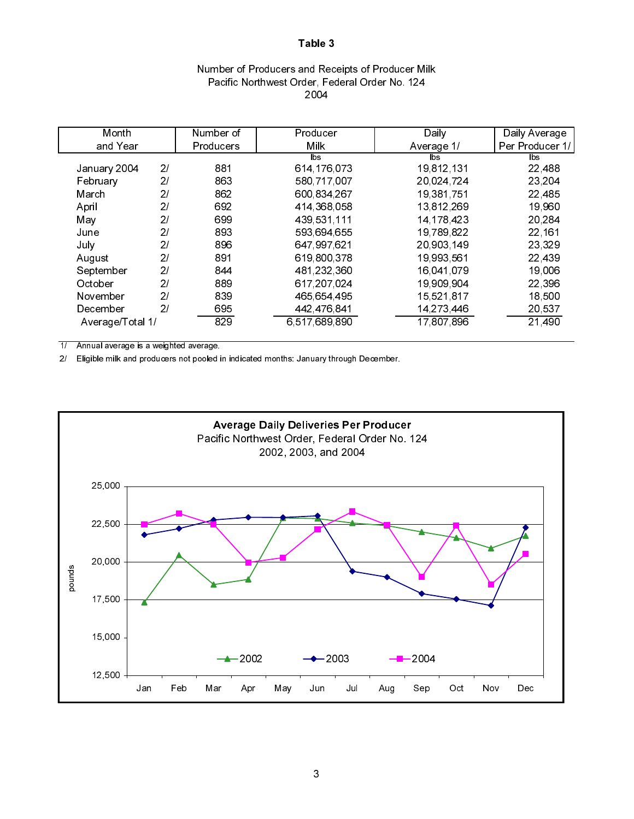# Number of Producers and Receipts of Producer Milk Pacific Northwest Order, Federal Order No. 124 2004

|     |                        |                                          | Daily Average       |
|-----|------------------------|------------------------------------------|---------------------|
|     |                        | Average 1/                               | Per Producer 1/     |
|     | lbs.                   | lbs                                      | <b>bs</b>           |
| 881 |                        |                                          | 22,488              |
| 863 | 580,717,007            | 20 024 724                               | 23,204              |
| 862 | 600 834 267            | 19,381,751                               | 22 485              |
| 692 | 414, 368, 058          | 13,812,269                               | 19,960              |
| 699 | 439 531 111            | 14, 178, 423                             | 20,284              |
| 893 | 593 694 655            | 19,789,822                               | 22, 161             |
| 896 | 647,997,621            | 20 903 149                               | 23,329              |
| 891 | 619 800 378            | 19,993,561                               | 22,439              |
| 844 | 481,232,360            | 16.041.079                               | 19,006              |
| 889 | 617, 207, 024          | 19,909,904                               | 22,396              |
| 839 | 465 654 495            | 15,521,817                               | 18,500              |
| 695 | 442,476,841            | 14,273,446                               | 20,537              |
| 829 | 6,517,689,890          | 17,807,896                               | 21,490              |
|     | Number of<br>Producers | Producer<br><b>Milk</b><br>614, 176, 073 | Daily<br>19,812,131 |

1/ Annual average is a weighted average.

2/ Eligible milk and producers not pooled in indicated months: January through December.

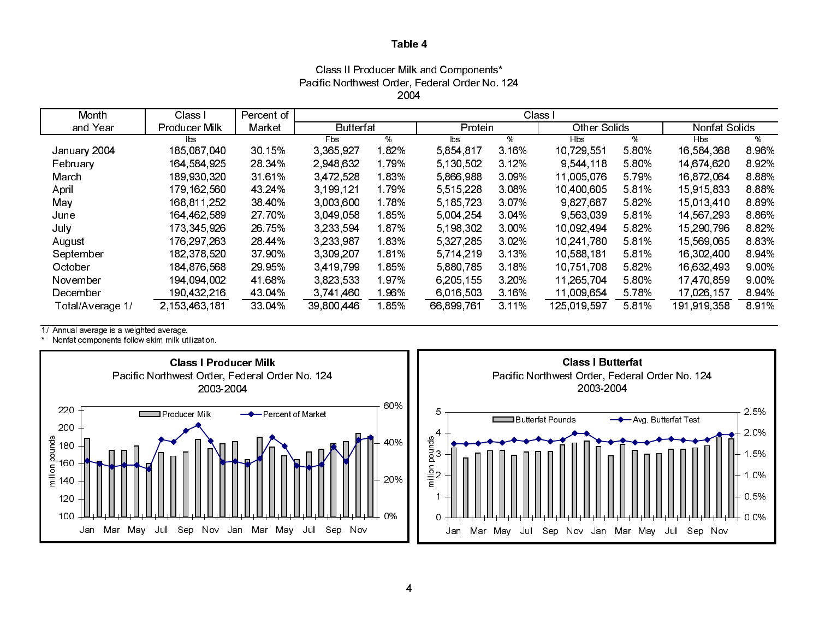### Class II Producer Milk and Components\* Pacific Northwest Order, Federal Order No. 124 2004

| Month            | Class I       | Percent of | Class I          |       |             |          |                     |         |               |       |  |
|------------------|---------------|------------|------------------|-------|-------------|----------|---------------------|---------|---------------|-------|--|
| and Year         | Producer Milk | Market     | <b>Butterfat</b> |       | Protein     |          | <b>Other Solids</b> |         | Nonfat Solids |       |  |
|                  | lbs.          |            | Fbs.             | %     | lbs         | %        | Hbs                 | %       | <b>Hbs</b>    | %     |  |
| January 2004     | 185,087,040   | 30.15%     | 3,365,927        | 1.82% | 5,854,817   | 3.16%    | 10,729,551          | 5 80%   | 16,584,368    | 8.96% |  |
| February         | 164 584 925   | 28.34%     | 2.948,632        | 1.79% | 5 130 502   | 3 1 2 %  | 9 544 118           | 5 80%   | 14,674,620    | 8.92% |  |
| March            | 189,930,320   | 3161%      | 3 472 528        | 1.83% | 5,866,988   | 309%     | 11,005,076          | 5 7 9 % | 16,872,064    | 8.88% |  |
| April            | 179, 162, 560 | 43 24%     | 3 199 121        | 1.79% | 5,515,228   | 308%     | 10,400,605          | 581%    | 15,915,833    | 8.88% |  |
| May              | 168 811 252   | 38 40%     | 3 003 600        | 1.78% | 5, 185, 723 | 307%     | 9,827,687           | 582%    | 15,013,410    | 8.89% |  |
| June             | 164,462,589   | 27 70%     | 3 049 058        | 1.85% | 5 004 254   | $3.04\%$ | 9 563 039           | 581%    | 14,567,293    | 8.86% |  |
| July             | 173 345 926   | 26 75%     | 3.233.594        | 1.87% | 5, 198, 302 | 3 00%    | 10.092.494          | 582%    | 15,290,796    | 8.82% |  |
| August           | 176, 297, 263 | 28 44%     | 3.233.987        | 1.83% | 5 327 285   | 3 0 2%   | 10.241.780          | 581%    | 15,569,065    | 8.83% |  |
| September        | 182,378,520   | 37 90%     | 3 309 207        | 1.81% | 5 7 14 2 19 | 3 13%    | 10,588,181          | 581%    | 16,302,400    | 8.94% |  |
| October          | 184 876 568   | 29 95%     | 3,419,799        | 1.85% | 5,880,785   | 3 18%    | 10,751,708          | 582%    | 16,632,493    | 9.00% |  |
| November         | 194 094 002   | 41 68%     | 3 823 533        | 1.97% | 6,205,155   | 3 20%    | 11,265,704          | 5 80%   | 17,470,859    | 9.00% |  |
| December         | 190 432 216   | 43.04%     | 3 741 460        | ∣96%  | 6,016,503   | 3 16%    | 11,009,654          | 5 78%   | 17,026,157    | 8.94% |  |
| Total/Average 1/ | 2,153,463,181 | 33 04%     | 39 800 446       | 185%  | 66 899 761  | 3 1 1 %  | 125,019,597         | 5 8 1%  | 191 919 358   | 8.91% |  |

1/ Annual average is a weighted average.

\* Nonfat components follow skim milk utilization.



0.5%

1.0%

2.0%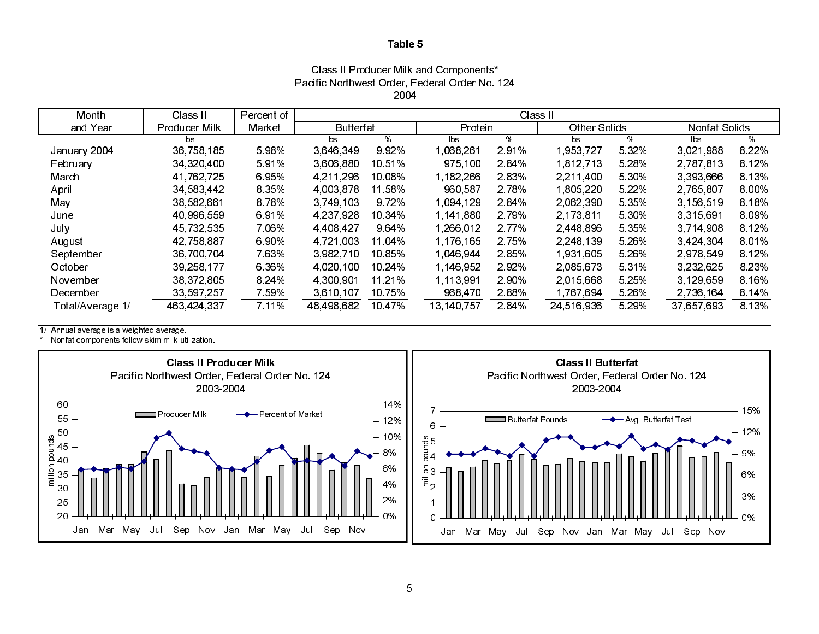Class II Producer Milk and Components\* Pacific Northwest Order, Federal Order No. 124 2004

| Month            | Class II      | Percent of | Class II         |        |            |         |                     |         |               |         |  |
|------------------|---------------|------------|------------------|--------|------------|---------|---------------------|---------|---------------|---------|--|
| and Year         | Producer Milk | Market     | <b>Butterfat</b> |        | Protein    |         | <b>Other Solids</b> |         | Nonfat Solids |         |  |
|                  | lbs.          |            | lbs              | ℅      | lbs        | %       | lbs                 | %       | lbs           | %       |  |
| January 2004     | 36,758,185    | 5.98%      | 3,646,349        | 9.92%  | 068,261    | 2.91%   | 953,727             | 5 3 2 % | 3,021,988     | 8 2 2 % |  |
| February         | 34,320,400    | 591%       | 3,606,880        | 10 51% | 975 100    | 284%    | 1,812,713           | 5.28%   | 2,787,813     | 8 1 2%  |  |
| March            | 41,762,725    | 6.95%      | 4.211,296        | 10.08% | 1,182,266  | 2.83%   | 2.211.400           | 5 30%   | 3,393,666     | 8.13%   |  |
| April            | 34,583,442    | 8 3 5 %    | 4 003 878        | 11.58% | 960,587    | 2.78%   | 805,220             | 5.22%   | 2,765,807     | 8.00%   |  |
| May              | 38,582,661    | 8.78%      | 3.749.103        | 9.72%  | 1,094,129  | 2.84%   | 2.062,390           | 5 3 5 % | 3,156,519     | 8.18%   |  |
| June             | 40,996,559    | 691%       | 4.237,928        | 10 34% | 1,141,880  | 2.79%   | 2,173,811           | 5 30%   | 3,315,691     | 8.09%   |  |
| July             | 45 732 535    | 7 06%      | 4 4 08 4 27      | 964%   | 1.266.012  | 2 7 7 % | 2 448 896           | 5 3 5 % | 3 714 908     | 8.12%   |  |
| August           | 42 758 887    | 6.90%      | 4 721 003        | 11.04% | 1.176.165  | 2.75%   | 2.248.139           | 5.26%   | 3 4 2 4 3 0 4 | 8.01%   |  |
| September        | 36,700,704    | 7.63%      | 3 982 710        | 10.85% | 1.046.944  | 2.85%   | l 931,605           | 5.26%   | 2,978,549     | 8.12%   |  |
| October          | 39 258 177    | 6.36%      | 4.020.100        | 10 24% | 1.146.952  | 2.92%   | 2.085,673           | 5 3 1 % | 3.232.625     | 8 2 3 % |  |
| November         | 38 372 805    | 8 24%      | 4 300 901        | 11 21% | 1 113 991  | 2.90%   | 2.015.668           | 5.25%   | 3 129 659     | 8.16%   |  |
| December         | 33,597,257    | 7.59%      | 3 6 10 10 7      | 10.75% | 968,470    | 2.88%   | 1,767,694           | 5.26%   | 2,736,164     | 8.14%   |  |
| Total/Average 1/ | 463 424 337   | 7 11%      | 48,498,682       | 10 47% | 13,140,757 | 284%    | 24,516,936          | 5 29%   | 37,657,693    | 8.13%   |  |

1/ Annual average is a weighted average.

\* Nonfat components follow skim milk utilization.

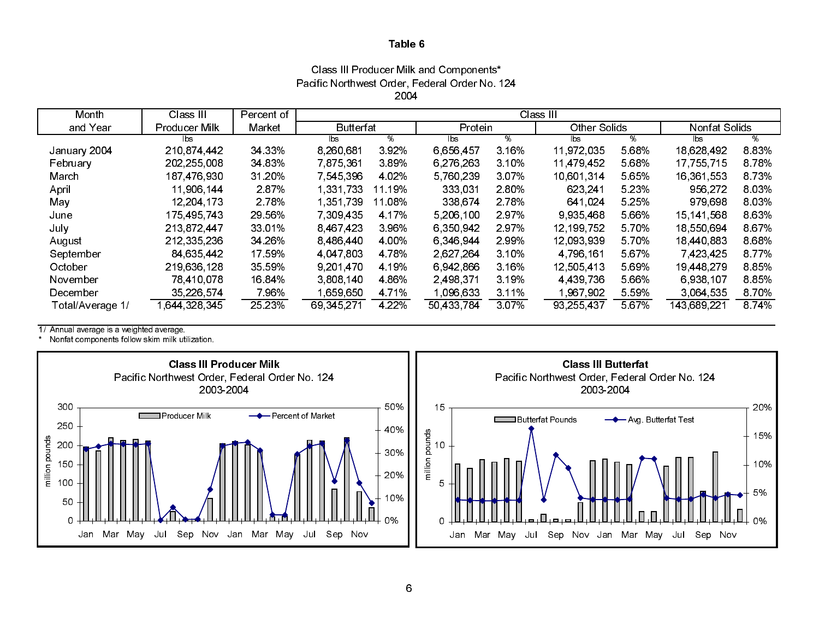Class III Producer Milk and Components\* Pacific Northwest Order, Federal Order No. 124 2004

| Month            | Class III            | Percent of | Class III        |         |            |        |                     |       |               |         |
|------------------|----------------------|------------|------------------|---------|------------|--------|---------------------|-------|---------------|---------|
| and Year         | <b>Producer Milk</b> | Market     | <b>Butterfat</b> |         | Protein    |        | <b>Other Solids</b> |       | Nonfat Solids |         |
|                  | lbs.                 |            | lbs              | ℅       | lbs.       | ℅      | lbs.                | %     | lbs           | %       |
| January 2004     | 210 874 442          | 34 33%     | 8,260,681        | 392%    | 6,656,457  | 3.16%  | 11.972.035          | 5.68% | 18,628,492    | 8.83%   |
| February         | 202, 255, 008        | 34 83%     | 7875361          | 389%    | 6.276.263  | 3.10%  | 11 479 452          | 5.68% | 17, 755, 715  | 8.78%   |
| March            | 187 476 930          | 31 20%     | 7 545 396        | 4 0 2%  | 5 760 239  | 3.07%  | 10,601,314          | 5.65% | 16,361,553    | 8 7 3 % |
| April            | 11,906,144           | 287%       | 1.331.733        | 11 19%  | 333,031    | 2.80%  | 623 241             | 5.23% | 956 272       | 8.03%   |
| May              | 12.204.173           | 2 78%      | 1 351 739        | 11.08%  | 338,674    | 2.78%  | 641 024             | 5.25% | 979,698       | 803%    |
| June             | 175 495 743          | 29 56%     | 7.309.435        | 4 17%   | 5 206 100  | 2.97%  | 9.935.468           | 5.66% | 15 141 568    | 8 6 3 % |
| July             | 213 872 447          | 33 01%     | 8.467.423        | 3.96%   | 6 350 942  | 2.97%  | 12.199.752          | 5.70% | 18,550,694    | 867%    |
| August           | 212,335,236          | 34.26%     | 8,486,440        | 4 00%   | 6 346 944  | 2.99%  | 12,093,939          | 5.70% | 18,440,883    | 868%    |
| September        | 84 635 442           | 17 59%     | 4,047,803        | 4 7 8 % | 2,627,264  | 3.10%  | 4 796 161           | 5.67% | 7,423,425     | 8 7 7 % |
| October          | 219,636,128          | 35 59%     | 9,201,470        | 4 19%   | 6 942 866  | 3.16%  | 12,505,413          | 5.69% | 19 448 279    | 8.85%   |
| November         | 78 410 078           | 16.84%     | 3.808.140        | 4 8 6 % | 2 498 371  | 3.19%  | 4 4 39 7 36         | 5.66% | 6 938 107     | 885%    |
| December         | 35 226 574           | 7.96%      | 1 659 650        | 4 7 1%  | 1 096 633  | 3 11%  | 1.967.902           | 5.59% | 3.064.535     | 8.70%   |
| Total/Average 1/ | 644,328,345          | 25 23%     | 69,345,271       | 4 2 2 % | 50 433 784 | 3 0 7% | 93,255,437          | 5 67% | 143 689 221   | 8 74%   |

1/ Annual average is a weighted average.

\* Nonfat components follow skim milk utilization.

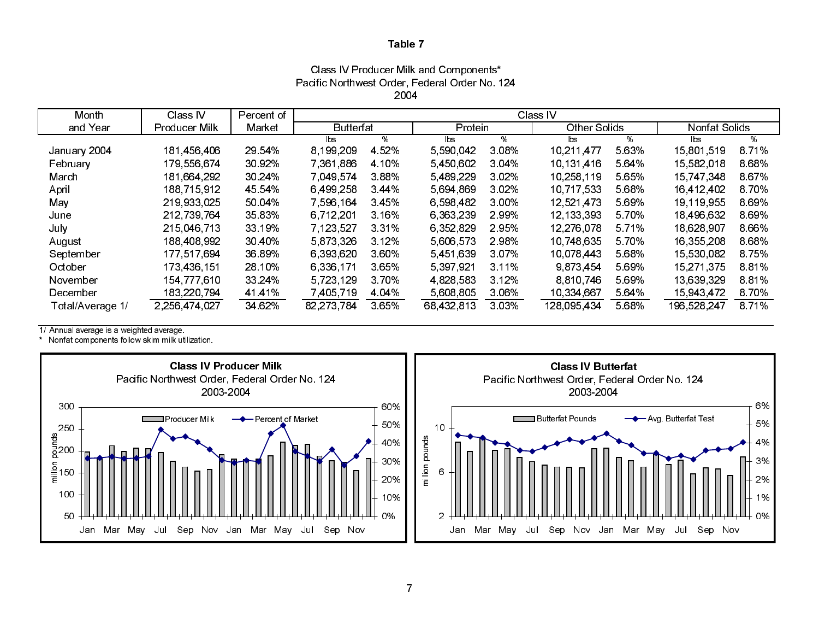### Class IV Producer Milk and Components\* Pacific Northwest Order, Federal Order No. 124 2004

| Month            | Class IV             | Percent of | Class IV         |         |            |         |                     |       |               |       |
|------------------|----------------------|------------|------------------|---------|------------|---------|---------------------|-------|---------------|-------|
| and Year         | <b>Producer Milk</b> | Market     | <b>Butterfat</b> |         | Protein    |         | <b>Other Solids</b> |       | Nonfat Solids |       |
|                  |                      |            | lbs              | %       | lbs        | %       | lbs                 | %     | lbs           | %     |
| January 2004     | 181 456 406          | 29 54%     | 8,199,209        | 4 5 2 % | 5,590,042  | 3 0 8 % | 10,211,477          | 5 63% | 15,801,519    | 871%  |
| February         | 179,556,674          | 30 92%     | 7 361 886        | 4 10%   | 5 450 602  | 3 04%   | 10.131.416          | 5 64% | 15,582,018    | 8.68% |
| March            | 181 664 292          | 30 24%     | 7.049.574        | 388%    | 5 489 229  | 3 0 2%  | 10.258.119          | 5.65% | 15 747 348    | 867%  |
| April            | 188 715 912          | 45 54%     | 6,499,258        | 344%    | 5,694,869  | 3 0 2%  | 10,717,533          | 5.68% | 16,412,402    | 8.70% |
| May              | 219 933 025          | 50 04%     | 7 596 164        | 345%    | 6 598 482  | 3 00%   | 12 521 473          | 5.69% | 19 119 955    | 869%  |
| June             | 212,739,764          | 35 83%     | 6,712,201        | 3 16%   | 6,363,239  | 2 99%   | 12,133,393          | 5 70% | 18,496,632    | 869%  |
| July             | 215 046 713          | 33 19%     | 7 123 527        | 3 3 1 % | 6,352,829  | 295%    | 12.276.078          | 5.71% | 18,628,907    | 8.66% |
| August           | 188,408,992          | 30 40%     | 5.873.326        | 3 1 2 % | 5,606,573  | 2 98%   | 10 748 635          | 5.70% | 16,355,208    | 868%  |
| September        | 177 517 694          | 36 89%     | 6 393 620        | 360%    | 5451639    | 3 0 7 % | 10.078.443          | 5.68% | 15,530,082    | 875%  |
| October          | 173,436,151          | 28 10%     | 6,336,171        | 365%    | 5,397,921  | 3 1 1 % | 9.873.454           | 5 69% | 15,271,375    | 881%  |
| November         | 154 777 610          | 33 24%     | 5 7 2 3 1 2 9    | 3.70%   | 4 828 583  | 3 1 2%  | 8 8 10 7 46         | 5.69% | 13,639,329    | 881%  |
| December         | 183,220,794          | 4141%      | 7,405,719        | 4 0 4 % | 5,608,805  | 3.06%   | 10,334,667          | 5 64% | 15,943,472    | 8.70% |
| Total/Average 1/ | 2,256,474,027        | 34 62%     | 82 273 784       | 3.65%   | 68,432,813 | 3 0 3%  | 128 095 434         | 5.68% | 196,528,247   | 871%  |

1/ Annual average is a weighted average.

\* Nonfat components follow skim milk utilization.



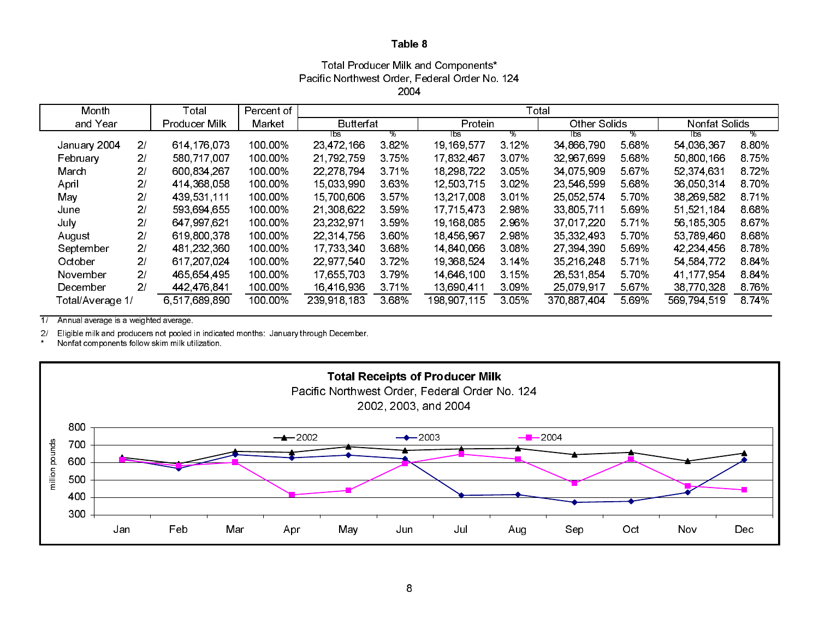### Total Producer Milk and Components\* Pacific Northwest Order, Federal Order No. 124 2004

| Month            |                | Total         | Percent of | Total                       |         |              |         |                          |       |              |         |
|------------------|----------------|---------------|------------|-----------------------------|---------|--------------|---------|--------------------------|-------|--------------|---------|
| and Year         |                | Producer Milk | Market     | Protein<br><b>Butterfat</b> |         | Other Solids |         | Nonfat Solids            |       |              |         |
|                  |                |               |            | lbs.                        | %       | ⊺bs          | %       | $\overline{\mathsf{bs}}$ | ℅     | lbs.         | %       |
| January 2004     | 2/             | 614 176 073   | 100.00%    | 23,472,166                  | 382%    | 19 169 577   | 3 1 2%  | 34 866 790               | 5.68% | 54 036 367   | 8 8 0%  |
| February         | 2 <sub>l</sub> | 580 717 007   | 100.00%    | 21,792,759                  | 3.75%   | 17.832.467   | 3.07%   | 32 967 699               | 5.68% | 50,800,166   | 8.75%   |
| March            | 2/             | 600 834 267   | 100 00%    | 22 278 794                  | 3 7 1 % | 18.298.722   | 3.05%   | 34 075 909               | 5.67% | 52,374,631   | 8.72%   |
| April            | 2/             | 414 368 058   | 100.00%    | 15,033,990                  | 3.63%   | 12,503,715   | 3.02%   | 23 546 599               | 5.68% | 36.050.314   | 8.70%   |
| May              | 21             | 439 531 111   | 100.00%    | 15,700,606                  | 357%    | 13,217,008   | 3.01%   | 25.052.574               | 5.70% | 38,269,582   | 8.71%   |
| June             | 2 <sup>1</sup> | 593 694 655   | 100.00%    | 21,308,622                  | 3 5 9 % | 17,715,473   | 2.98%   | 33,805,711               | 5.69% | 51,521,184   | 8.68%   |
| July             | 2/             | 647 997 621   | 100.00%    | 23,232,971                  | 3 5 9 % | 19,168,085   | 2.96%   | 37.017.220               | 5.71% | 56, 185, 305 | 8 6 7%  |
| August           | 21             | 619,800,378   | 100.00%    | 22 314 756                  | 360%    | 18,456,967   | 2.98%   | 35,332,493               | 5.70% | 53,789,460   | 8.68%   |
| September        | 2/             | 481,232,360   | 100.00%    | 17,733,340                  | 368%    | 14 840 066   | 3.08%   | 27 394 390               | 5.69% | 42.234.456   | 8.78%   |
| October          | 2 <sup>1</sup> | 617,207,024   | 100.00%    | 22,977,540                  | 372%    | 19 368 524   | 3 14%   | 35 216 248               | 5.71% | 54 584 772   | 884%    |
| November         | 2 <sup>1</sup> | 465 654 495   | 100 00%    | 17,655,703                  | 3 7 9 % | 14 646 100   | 3.15%   | 26 531 854               | 5.70% | 41 177 954   | 884%    |
| December         | 2/             | 442 476 841   | 100 00%    | 16 416 936                  | 371%    | 13,690,411   | 3.09%   | 25,079,917               | 5.67% | 38 770 328   | 8.76%   |
| Total/Average 1/ |                | 6,517,689,890 | 100 00%    | 239,918,183                 | 3.68%   | 198 907 115  | 3 0 5 % | 370 887 404              | 5.69% | 569,794,519  | 8 7 4 % |

 $\overline{1/2}$ Annual average is a weighted average.

2/ Eligible milk and producers not pooled in indicated months: January through December.

 $^\star$ Nonfat components follow skim milk utilization.

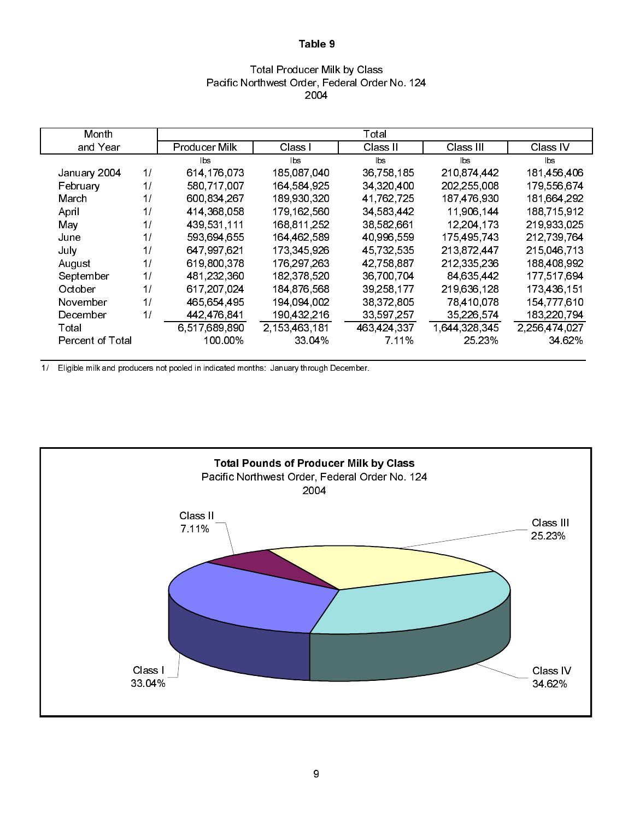### Total Producer Milk by Class Pacific Northwest Order, Federal Order No. 124 2004

| Month            |    |                      |                  | Total        |                        |               |
|------------------|----|----------------------|------------------|--------------|------------------------|---------------|
| and Year         |    | <b>Producer Milk</b> | Class I          | Class II     | Class III              | Class IV      |
|                  |    | lbs                  | lbs.             | bs           | $\mathsf{b}\mathsf{s}$ | lbs           |
| January 2004     | 1/ | 614 176 073          | 185 087 040      | 36,758,185   | 210 874 442            | 181 456 406   |
| February         | 1/ | 580,717,007          | 164 584 925      | 34,320,400   | 202,255,008            | 179,556,674   |
| March            | 1/ | 600 834 267          | 189 930 320      | 41,762,725   | 187,476,930            | 181,664,292   |
| April            | 11 | 414,368,058          | 179 162 560      | 34,583,442   | 11,906,144             | 188,715,912   |
| May              | 1/ | 439 531 111          | 168 811 252      | 38,582,661   | 12.204.173             | 219 933 025   |
| June             | 1/ | 593,694,655          | 164 462 589      | 40,996,559   | 175 495 743            | 212,739,764   |
| July             | 1/ | 647 997 621          | 173 345 926      | 45,732,535   | 213,872,447            | 215,046,713   |
| August           | 11 | 619 800 378          | 176, 297, 263    | 42 758 887   | 212 335 236            | 188,408,992   |
| September        | 1/ | 481,232,360          | 182,378,520      | 36,700,704   | 84,635,442             | 177,517,694   |
| October          | 1/ | 617 207 024          | 184 876 568      | 39, 258, 177 | 219,636,128            | 173 436 151   |
| November         | 11 | 465,654,495          | 194 094 002      | 38,372,805   | 78,410,078             | 154 777 610   |
| December         | 1/ | 442,476,841          | 190 432 216      | 33,597,257   | 35,226,574             | 183,220,794   |
| Total            |    | 6,517,689,890        | 2, 153, 463, 181 | 463,424,337  | 1.644.328.345          | 2,256,474,027 |
| Percent of Total |    | 100.00%              | 33 04%           | 7.11%        | 25 23%                 | 34 62%        |

1/ Eligible milk and producers not pooled in indicated months: January through December.

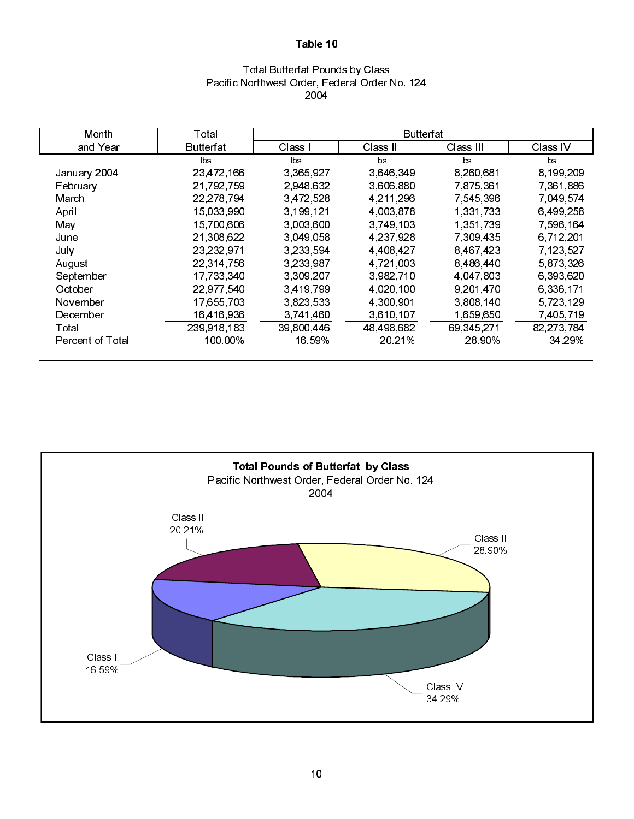### Total Butterfat Pounds by Class Pacific Northwest Order, Federal Order No. 124 2004

| Month            | Total       |            | <b>Butterfat</b> |            |                |
|------------------|-------------|------------|------------------|------------|----------------|
| and Year         | Butterfat   | Class I    | Class II         | Class III  | Class IV       |
|                  | lbs         | lbs        | <b>bs</b>        | lbs        | $\mathsf{lbs}$ |
| January 2004     | 23,472,166  | 3 365 927  | 3 646 349        | 8,260,681  | 8,199,209      |
| February         | 21,792,759  | 2,948,632  | 3,606,880        | 7.875,361  | 7,361,886      |
| March            | 22,278,794  | 3 472 528  | 4,211,296        | 7,545,396  | 7.049.574      |
| April            | 15,033,990  | 3,199,121  | 4,003,878        | 1,331,733  | 6,499,258      |
| May              | 15,700,606  | 3,003,600  | 3,749,103        | 1,351,739  | 7,596,164      |
| June             | 21,308,622  | 3 049 058  | 4 237 928        | 7 309 435  | 6,712,201      |
| July             | 23,232,971  | 3.233.594  | 4 4 0 8 4 2 7    | 8 467 423  | 7 123 527      |
| August           | 22,314,756  | 3,233,987  | 4.721.003        | 8,486,440  | 5 873 326      |
| September        | 17,733,340  | 3,309,207  | 3.982.710        | 4,047,803  | 6,393,620      |
| October          | 22,977,540  | 3,419,799  | 4,020,100        | 9,201,470  | 6,336,171      |
| November         | 17,655,703  | 3,823,533  | 4 300 901        | 3,808,140  | 5,723,129      |
| December         | 16,416,936  | 3,741,460  | 3,610,107        | 1,659,650  | 7,405,719      |
| Total            | 239,918,183 | 39,800,446 | 48,498,682       | 69 345 271 | 82,273,784     |
| Percent of Total | 100.00%     | 16.59%     | 20 21%           | 28.90%     | 34 29%         |

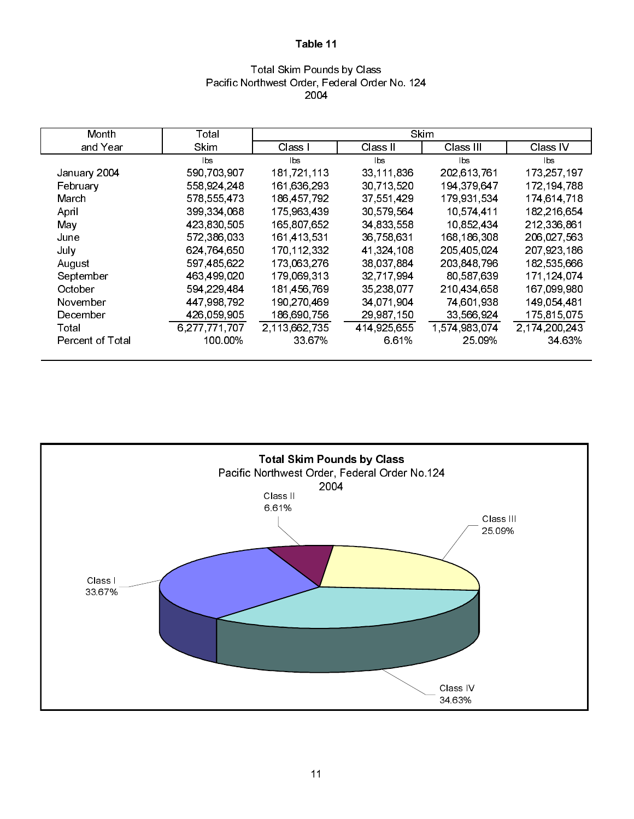### Total Skim Pounds by Class Pacific Northwest Order, Federal Order No. 124 2004

| Month            | Total         |               | <b>Skim</b> |               |               |
|------------------|---------------|---------------|-------------|---------------|---------------|
| and Year         | Skim          | Class I       | Class II    | Class III     | Class IV      |
|                  | lbs.          | lbs           | lbs         | lbs.          | lbs           |
| January 2004     | 590,703,907   | 181,721,113   | 33,111,836  | 202,613,761   | 173,257,197   |
| February         | 558,924,248   | 161,636,293   | 30,713,520  | 194, 379, 647 | 172, 194, 788 |
| March            | 578 555 473   | 186 457 792   | 37,551,429  | 179,931,534   | 174,614,718   |
| April            | 399 334 068   | 175 963 439   | 30,579,564  | 10 574 411    | 182 216 654   |
| May              | 423,830,505   | 165 807 652   | 34,833,558  | 10,852,434    | 212,336,861   |
| June             | 572,386,033   | 161 413 531   | 36 758 631  | 168,186,308   | 206 027 563   |
| July             | 624,764,650   | 170,112,332   | 41,324,108  | 205,405,024   | 207,923,186   |
| August           | 597,485,622   | 173,063,276   | 38,037,884  | 203,848,796   | 182,535,666   |
| September        | 463,499,020   | 179,069,313   | 32,717,994  | 80,587,639    | 171,124,074   |
| October          | 594,229,484   | 181,456,769   | 35,238,077  | 210.434.658   | 167,099,980   |
| November         | 447,998,792   | 190,270,469   | 34,071,904  | 74,601,938    | 149 054 481   |
| December         | 426,059,905   | 186,690,756   | 29,987,150  | 33,566,924    | 175,815,075   |
| Total            | 6,277,771,707 | 2,113,662,735 | 414,925,655 | 1,574,983,074 | 2,174,200,243 |
| Percent of Total | 100.00%       | 33 67%        | 6.61%       | 25.09%        | 34 63%        |

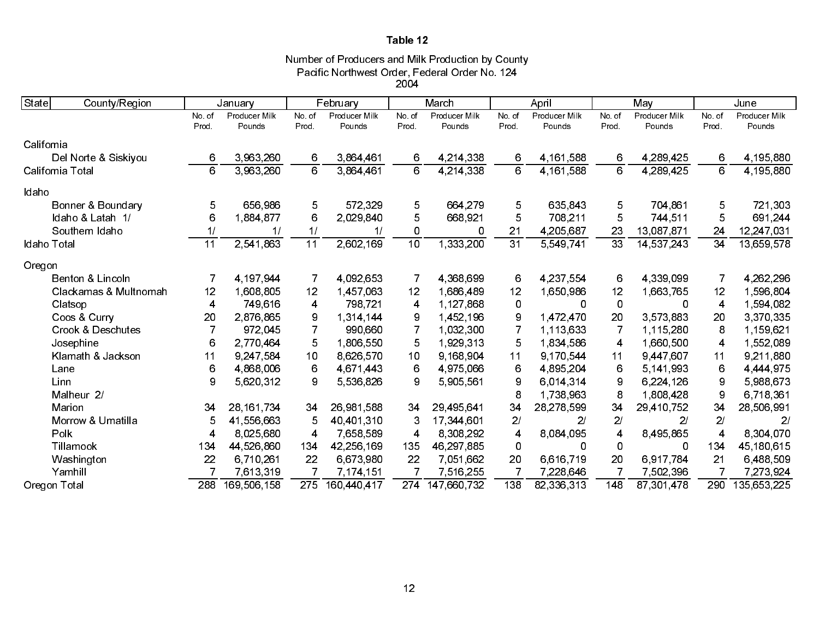Number of Producers and Milk Production by County Pacific Northwest Order, Federal Order No. 124 2004

| State<br>County/Region       |                 | January                 |                 | February                |                 | March                   |                 | April                   |                 | May                     |                         | June                    |
|------------------------------|-----------------|-------------------------|-----------------|-------------------------|-----------------|-------------------------|-----------------|-------------------------|-----------------|-------------------------|-------------------------|-------------------------|
|                              | No. of<br>Prod. | Producer Milk<br>Pounds | No. of<br>Prod. | Producer Milk<br>Pounds | No. of<br>Prod  | Producer Milk<br>Pounds | No. of<br>Prod. | Producer Milk<br>Pounds | No. of<br>Prod. | Producer Milk<br>Pounds | No of<br>Prod.          | Producer Milk<br>Pounds |
| California                   |                 |                         |                 |                         |                 |                         |                 |                         |                 |                         |                         |                         |
| Del Norte & Siskiyou         | 6               | 3,963,260               | 6               | 3,864,461               | 6               | 4,214,338               | 6               | 4, 161, 588             | 6               | 4,289,425               | 6                       | 4,195,880               |
| California Total             | 6               | 3 963 260               | 6               | 3 864 461               | 6               | 4 214 338               | 6               | 4 161 588               | 6               | 4.289.425               | 6                       | 4 195 880               |
| Idaho                        |                 |                         |                 |                         |                 |                         |                 |                         |                 |                         |                         |                         |
| Bonner & Boundary            | 5               | 656,986                 | 5               | 572,329                 | 5               | 664,279                 | 5               | 635,843                 | 5               | 704,861                 | 5                       | 721 303                 |
| Idaho & Latah 1/             | 6               | 1884877                 | 6               | 2,029,840               | 5               | 668 921                 | 5               | 708,211                 | 5               | 744 511                 | 5                       | 691,244                 |
| Southern Idaho               | 1/              | 1/                      | 1/              | 1/                      | 0               | 0                       | 21              | 4,205,687               | 23              | 13,087,871              | 24                      | 12,247,031              |
| Idaho Total                  | 11              | 2,541,863               | $\overline{11}$ | 2,602,169               | $\overline{10}$ | 1,333,200               | $\overline{31}$ | 5 549 741               | 33              | 14,537,243              | 34                      | 13,659,578              |
| Oregon                       |                 |                         |                 |                         |                 |                         |                 |                         |                 |                         |                         |                         |
| Benton & Lincoln             | 7               | 4 197 944               | 7               | 4 092 653               | 7               | 4,368,699               | 6               | 4.237.554               | 6               | 4 339 099               | 7                       | 4,262,296               |
| Clackamas & Multnomah        | 12              | 1,608,805               | 12              | 1,457,063               | 12              | 1,686,489               | 12              | 1,650,986               | 12              | 1,663,765               | 12                      | 1,596,804               |
| Clatsop                      | $\overline{4}$  | 749,616                 | $\overline{4}$  | 798,721                 | 4               | 1 127 868               | 0               | 0                       | 0               | <sup>0</sup>            | $\overline{\mathbf{4}}$ | 1,594,082               |
| Coos & Curry                 | 20              | 2,876,865               | 9               | 1,314,144               | 9               | 1,452,196               | 9               | 1 472 470               | 20              | 3 573 883               | 20                      | 3,370,335               |
| <b>Crook &amp; Deschutes</b> | 7               | 972,045                 | 7               | 990,660                 | $\overline{7}$  | 1,032,300               | 7               | 1.113,633               | 7               | 1.115,280               | 8                       | 1.159,621               |
| Josephine                    | 6               | 2,770,464               | 5               | 1,806,550               | 5               | 1,929,313               | 5               | 1,834,586               | 4               | 1,660,500               | 4                       | 1,552,089               |
| Klamath & Jackson            | 11              | 9,247,584               | 10              | 8,626,570               | 10              | 9 168 904               | 11              | 9.170,544               | 11              | 9 447 607               | 11                      | 9,211,880               |
| Lane                         | 6               | 4,868,006               | 6               | 4 671 443               | 6               | 4 975 066               | 6               | 4,895,204               | 6               | 5 141 993               | 6                       | 4 444 975               |
| Linn                         | 9               | 5,620,312               | 9               | 5,536,826               | 9               | 5,905,561               | 9               | 6,014,314               | 9               | 6,224,126               | 9                       | 5,988,673               |
| Malheur 2/                   |                 |                         |                 |                         |                 |                         | 8               | 1,738,963               | 8               | 1808 428                | 9                       | 6.718.361               |
| Marion                       | 34              | 28, 161, 734            | 34              | 26,981,588              | 34              | 29,495,641              | 34              | 28, 278, 599            | 34              | 29,410,752              | 34                      | 28,506,991              |
| Morrow & Umatilla            | 5               | 41,556,663              | 5               | 40,401,310              | 3               | 17,344,601              | 2/              | 21                      | 2/              | 2/                      | 2/                      | 2 <sub>l</sub>          |
| Polk                         | 4               | 8,025,680               | 4               | 7,658,589               | 4               | 8,308,292               | 4               | 8,084,095               | 4               | 8,495,865               | $\overline{\mathbf{4}}$ | 8,304,070               |
| Tillamook                    | 134             | 44 526 860              | 134             | 42,256,169              | 135             | 46,297,885              | 0               | 0                       | 0               | 0                       | 134                     | 45,180,615              |
| Washington                   | 22              | 6,710,261               | 22              | 6,673,980               | 22              | 7,051,662               | 20              | 6,616,719               | 20              | 6.917.784               | 21                      | 6,488,509               |
| Yamhill                      |                 | 7,613,319               | $\overline{7}$  | 7,174,151               | 7               | 7,516,255               |                 | 7,228,646               | 7               | 7,502,396               |                         | 7,273,924               |
| Oregon Total                 | 288             | 169 506 158             | 275             | 160 440 417             | 274             | 147,660,732             | 138             | 82,336,313              | 148             | 87, 301, 478            | 290                     | 135,653,225             |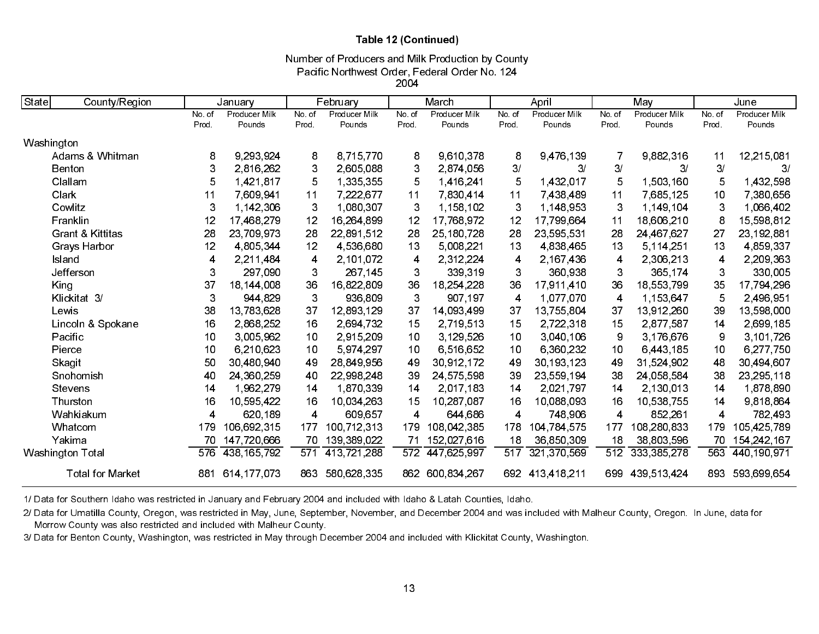### Table 12 (Continued)

Pacific Northwest Order, Federal Order No. 124 Number of Producers and Milk Production by County

2004

| State<br>County/Region      |       | January       |                         | February      |        | March           |       | April           |        | May             |        | June          |
|-----------------------------|-------|---------------|-------------------------|---------------|--------|-----------------|-------|-----------------|--------|-----------------|--------|---------------|
|                             | No.of | Producer Milk | No. of                  | Producer Milk | No. of | Producer Milk   | No.of | Producer Milk   | No. of | Producer Milk   | No. of | Producer Milk |
|                             | Prod. | Pounds        | Prod.                   | Pounds        | Prod   | Pounds          | Prod. | Pounds          | Prod.  | Pounds          | Prod.  | Pounds        |
| Washington                  |       |               |                         |               |        |                 |       |                 |        |                 |        |               |
| Adams & Whitman             | 8     | 9.293.924     | 8                       | 8,715,770     | 8      | 9,610,378       | 8     | 9,476,139       | 7      | 9,882,316       | 11     | 12,215,081    |
| <b>Benton</b>               | 3     | 2,816,262     | 3                       | 2,605,088     | 3      | 2 874 056       | 3/    | 3/              | 3/     | 3/              | 3/     | 3/            |
| Clallam                     | 5     | 1,421,817     | 5                       | 1,335,355     | 5      | 1,416,241       | 5     | 1,432,017       | 5      | 1,503,160       | 5      | 1,432,598     |
| Clark                       | 11    | 7,609,941     | 11                      | 7,222,677     | 11     | 7,830,414       | 11    | 7 438 489       | 11     | 7,685,125       | 10     | 7,380,656     |
| Cowlitz                     | 3     | 1,142,306     | 3                       | 1,080,307     | 3      | 1,158,102       | 3     | 1,148,953       | 3      | 1,149,104       | 3      | 1,066,402     |
| Franklin                    | 12    | 17.468.279    | 12                      | 16.264.899    | 12     | 17.768.972      | 12    | 17 799 664      | 11     | 18,606,210      | 8      | 15,598,812    |
| <b>Grant &amp; Kittitas</b> | 28    | 23,709,973    | 28                      | 22,891,512    | 28     | 25,180,728      | 28    | 23,595,531      | 28     | 24,467,627      | 27     | 23, 192, 881  |
| Grays Harbor                | 12    | 4 805 344     | 12                      | 4,536,680     | 13     | 5,008,221       | 13    | 4,838,465       | 13     | 5, 114, 251     | 13     | 4,859,337     |
| Island                      | 4     | 2,211,484     | 4                       | 2,101,072     | 4      | 2,312,224       | 4     | 2,167,436       | 4      | 2,306,213       | 4      | 2,209,363     |
| Jefferson                   | 3     | 297,090       | 3                       | 267.145       | 3      | 339,319         | 3     | 360,938         | 3      | 365 174         | 3      | 330,005       |
| King                        | 37    | 18,144,008    | 36                      | 16,822,809    | 36     | 18,254,228      | 36    | 17,911,410      | 36     | 18,553,799      | 35     | 17,794,296    |
| Klickitat 3/                | 3     | 944 829       | 3                       | 936,809       | 3      | 907.197         | 4     | 1.077,070       | 4      | 1,153,647       | 5      | 2,496,951     |
| Lewis                       | 38    | 13,783,628    | 37                      | 12,893,129    | 37     | 14,093,499      | 37    | 13,755,804      | 37     | 13,912,260      | 39     | 13,598,000    |
| Lincoln & Spokane           | 16    | 2,868,252     | 16                      | 2,694,732     | 15     | 2,719,513       | 15    | 2,722,318       | 15     | 2877.587        | 14     | 2,699,185     |
| Pacific                     | 10    | 3,005,962     | 10                      | 2,915,209     | 10     | 3,129,526       | 10    | 3,040,106       | 9      | 3,176,676       | 9      | 3,101,726     |
| Pierce                      | 10    | 6.210.623     | 10                      | 5 974 297     | 10     | 6,516,652       | 10    | 6,360,232       | 10     | 6,443,185       | 10     | 6,277,750     |
| Skagit                      | 50    | 30 480 940    | 49                      | 28,849,956    | 49     | 30,912,172      | 49    | 30, 193, 123    | 49     | 31,524,902      | 48     | 30,494,607    |
| Snohomish                   | 40    | 24,360,259    | 40                      | 22,998,248    | 39     | 24,575,598      | 39    | 23,559,194      | 38     | 24,058,584      | 38     | 23,295,118    |
| Stevens                     | 14    | 1,962,279     | 14                      | 1,870,339     | 14     | 2,017,183       | 14    | 2,021,797       | 14     | 2,130,013       | 14     | 1,878,890     |
| Thurston                    | 16    | 10,595,422    | 16                      | 10,034,263    | 15     | 10,287,087      | 16    | 10.088.093      | 16     | 10.538.755      | 14     | 9,818,864     |
| Wahkiakum                   | 4     | 620,189       | $\overline{\mathbf{4}}$ | 609,657       | 4      | 644,686         | 4     | 748,906         | 4      | 852,261         | 4      | 782,493       |
| Whatcom                     | 179   | 106,692,315   | 177                     | 100,712,313   | 179    | 108 042 385     | 178   | 104 784 575     | 177    | 108 280 833     | 179    | 105 425 789   |
| Yakima                      | 70    | 147 720 666   | 70                      | 139,389,022   | 71     | 152,027,616     | 18    | 36,850,309      | 18     | 38,803,596      | 70     | 154, 242, 167 |
| Washington Total            | 576   | 438 165 792   | 571                     | 413,721,288   | 572    | 447,625,997     | 517   | 321 370 569     | 512    | 333, 385, 278   | 563    | 440 190 971   |
| <b>Total for Market</b>     | 881   | 614 177 073   | 863                     | 580,628,335   |        | 862 600 834 267 |       | 692 413 418 211 |        | 699 439 513 424 | 893    | 593,699,654   |

1/ Data for Southern Idaho was restricted in January and February 2004 and included with Idaho & Latah Counties, Idaho.

2/ Data for Umatilla County, Oregon, was restricted in May, June, September, November, and December 2004 and was included with Malheur County, Oregon. In June, data for Morrow County was also restricted and included with Malheur County.

3/ Data for Benton County, Washington, was restricted in May through December 2004 and included with Klickitat County, Washington.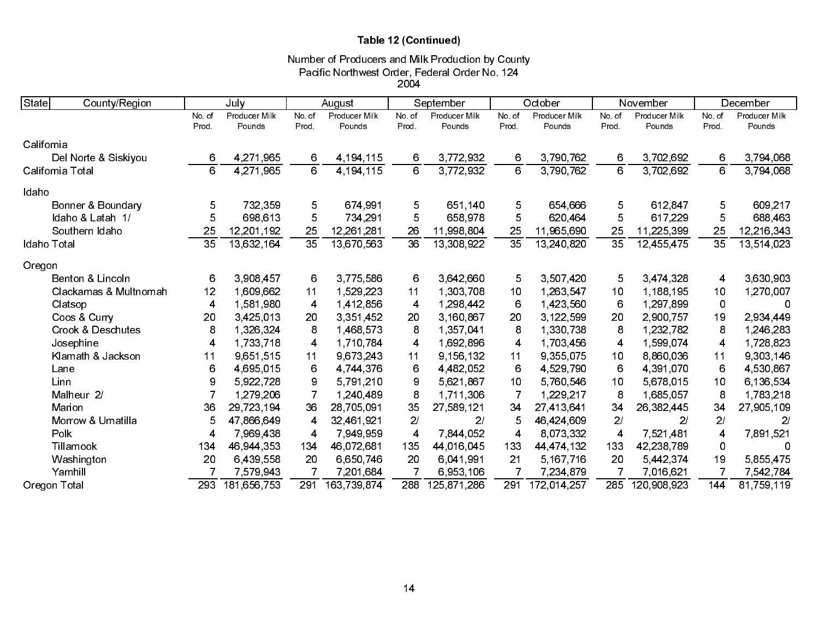# Table 12 (Continued)

### Number of Producers and Milk Production by County Pacific Northwest Order, Federal Order No. 124 2004

| <b>State</b><br>County/Region |                 | July          |        | August        |                         | September      |                 | October       |                 | November      |                 | December      |
|-------------------------------|-----------------|---------------|--------|---------------|-------------------------|----------------|-----------------|---------------|-----------------|---------------|-----------------|---------------|
|                               | No. of          | Producer Milk | No. of | Producer Milk | No. of                  | Producer Milk  | No.of           | Producer Milk | No. of          | Producer Milk | No of           | Producer Milk |
|                               | Prod.           | Pounds        | Prod.  | Pounds        | Prod.                   | Pounds         | Prod.           | Pounds        | Prod.           | Pounds        | Prod.           | Pounds        |
| California                    |                 |               |        |               |                         |                |                 |               |                 |               |                 |               |
| Del Norte & Siskiyou          | 6               | 4,271,965     | 6      | 4, 194, 115   | 6                       | 3,772,932      | 6               | 3,790,762     | 6               | 3,702,692     | 6               | 3,794,068     |
| California Total              | 6               | 4,271,965     | 6      | 4,194,115     | 6                       | 3,772,932      | 6               | 3,790,762     | 6               | 3 702 692     | 6               | 3,794,068     |
| Idaho                         |                 |               |        |               |                         |                |                 |               |                 |               |                 |               |
| Bonner & Boundary             | 5               | 732,359       | 5      | 674,991       | 5                       | 651,140        | 5               | 654,666       | 5               | 612,847       | 5               | 609,217       |
| Idaho & Latah 1/              | 5               | 698,613       | 5      | 734 291       | 5                       | 658.978        | 5               | 620,464       | 5               | 617,229       | 5               | 688,463       |
| Southern Idaho                | 25              | 12,201,192    | 25     | 12,261,281    | 26                      | 11,998,804     | 25              | 11,965,690    | 25              | 11,225,399    | 25              | 12,216,343    |
| Idaho Total                   | $\overline{35}$ | 13 632 164    | 35     | 13,670,563    | 36                      | 13,308,922     | $\overline{35}$ | 13,240,820    | $\overline{35}$ | 12,455,475    | $\overline{35}$ | 13,514,023    |
| Oregon                        |                 |               |        |               |                         |                |                 |               |                 |               |                 |               |
| Benton & Lincoln              | 6               | 3 908 457     | 6      | 3,775,586     | 6                       | 3,642,660      | 5               | 3,507,420     | 5               | 3,474,328     | 4               | 3,630,903     |
| Clackamas & Multnomah         | 12              | 1,609,662     | 11     | 1,529,223     | 11                      | 1,303,708      | 10              | 1,263,547     | 10              | 1,188,195     | 10              | 1,270,007     |
| Clatsop                       | 4               | 1,581,980     | 4      | 1,412,856     | $\overline{\mathbf{4}}$ | 1,298,442      | 6               | 1,423,560     | 6               | 1,297,899     | 0               | 0             |
| Coos & Curry                  | 20              | 3,425,013     | 20     | 3,351,452     | 20                      | 3 160 867      | 20              | 3,122,599     | 20              | 2 900 757     | 19              | 2,934,449     |
| <b>Crook &amp; Deschutes</b>  | 8               | 1,326,324     | 8      | 1,468,573     | 8                       | 1,357,041      | 8               | 1,330,738     | 8               | 1,232,782     | 8               | 1,246,283     |
| Josephine                     | 4               | 1,733,718     | 4      | 1,710,784     | $\overline{\mathbf{4}}$ | 1,692,896      | 4               | 1,703,456     | 4               | 1,599,074     | 4               | 1,728,823     |
| Klamath & Jackson             | 11              | 9,651,515     | 11     | 9,673,243     | 11                      | 9,156,132      | 11              | 9,355,075     | 10              | 8,860,036     | 11              | 9,303,146     |
| Lane                          | 6               | 4 695 015     | 6      | 4 744 376     | 6                       | 4,482,052      | 6               | 4 529 790     | 6               | 4 391 070     | 6               | 4 530 867     |
| Linn                          | 9               | 5 922 728     | 9      | 5,791,210     | 9                       | 5 621 867      | 10              | 5,760,546     | 10              | 5,678,015     | 10              | 6,136,534     |
| Malheur 2/                    | $\overline{7}$  | 1,279,206     | 7      | 1.240.489     | 8                       | 1.711.306      | 7               | 1,229,217     | 8               | 1,685,057     | 8               | 1,783,218     |
| Marion                        | 36              | 29,723,194    | 36     | 28,705,091    | 35                      | 27,589,121     | 34              | 27,413,641    | 34              | 26,382,445    | 34              | 27,905,109    |
| Morrow & Umatilla             | 5               | 47,866,649    | 4      | 32,461,921    | 2/                      | 2 <sup>1</sup> | 5               | 46,424,609    | 2/              | 21            | 2/              | 2/            |
| Polk                          | 4               | 7,969,438     | 4      | 7,949,959     | $\overline{\mathbf{4}}$ | 7,844,052      | 4               | 8 073 332     | 4               | 7 521 481     | 4               | 7,891,521     |
| Tillamook                     | 134             | 46,944,353    | 134    | 46.072.681    | 135                     | 44,016,045     | 133             | 44 474 132    | 133             | 42,238,789    | 0               | 0             |
| Washington                    | 20              | 6,439,558     | 20     | 6,650,746     | 20                      | 6,041,991      | 21              | 5,167,716     | 20              | 5,442,374     | 19              | 5,855,475     |
| Yamhill                       | 7               | 7,579,943     |        | 7,201,684     | 7                       | 6,953,106      | 7               | 7,234,879     |                 | 7,016,621     |                 | 7,542,784     |
| Oregon Total                  | 293             | 181,656,753   | 291    | 163,739,874   | 288                     | 125 871 286    | 291             | 172,014,257   | 285             | 120,908,923   | 144             | 81,759,119    |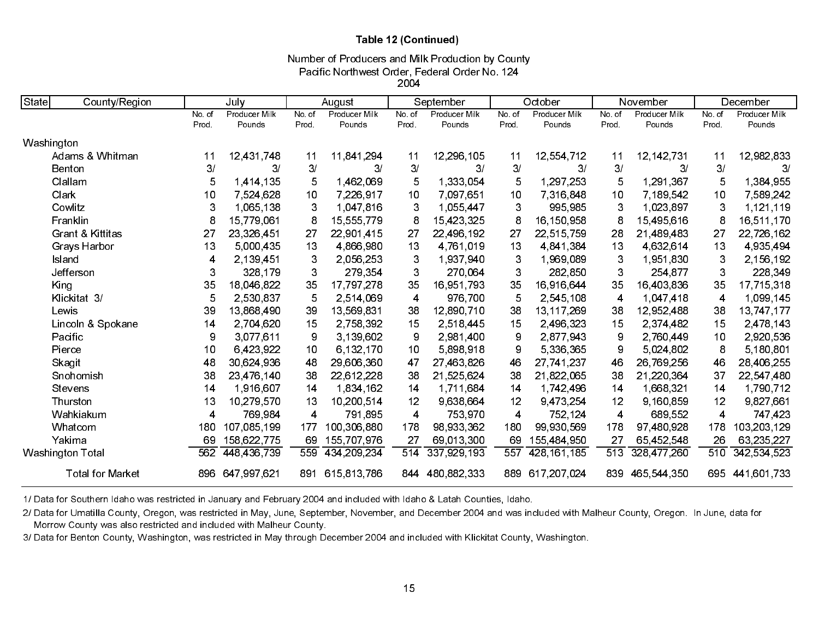### Table 12 (Continued)

Pacific Northwest Order, Federal Order No. 124 2004Number of Producers and Milk Production by County

| State<br>County/Region      |        | July          |              | August        |        | September     |       | October       |                | November      |       | December      |
|-----------------------------|--------|---------------|--------------|---------------|--------|---------------|-------|---------------|----------------|---------------|-------|---------------|
|                             | No. of | Producer Milk | No. of       | Producer Milk | No. of | Producer Milk | No of | Producer Milk | No. of         | Producer Milk | No of | Producer Milk |
|                             | Prod.  | Pounds        | Prod.        | Pounds        | Prod   | Pounds        | Prod. | Pounds        | Prod.          | Pounds        | Prod. | Pounds        |
| Washington                  |        |               |              |               |        |               |       |               |                |               |       |               |
| Adams & Whitman             | 11     | 12,431,748    | 11           | 11,841,294    | 11     | 12,296,105    | 11    | 12,554,712    | 11             | 12, 142, 731  | 11    | 12,982,833    |
| Benton                      | 3/     | 3/            | 3/           | 3/            | 3/     | 3/            | 3/    | 3/            | 3/             | 3/            | 3/    | 3/            |
| Clallam                     | 5      | 1,414,135     | 5            | 1,462,069     | 5      | 1,333,054     | 5     | 1,297,253     | 5              | 1,291,367     | 5     | 1,384,955     |
| Clark                       | 10     | 7,524,628     | 10           | 7,226,917     | 10     | 7,097,651     | 10    | 7,316,848     | 10             | 7 189 542     | 10    | 7,589,242     |
| Cowlitz                     | 3      | 1,065,138     | $\mathbf{3}$ | 1.047.816     | 3      | 1,055,447     | 3     | 995.985       | 3              | 1,023,897     | 3     | 1,121,119     |
| Franklin                    | 8      | 15,779,061    | 8            | 15,555,779    | 8      | 15,423,325    | 8     | 16,150,958    | 8              | 15,495,616    | 8     | 16,511,170    |
| <b>Grant &amp; Kittitas</b> | 27     | 23,326,451    | 27           | 22,901.415    | 27     | 22,496,192    | 27    | 22,515,759    | 28             | 21,489,483    | 27    | 22,726,162    |
| Grays Harbor                | 13     | 5,000,435     | 13           | 4,866,980     | 13     | 4 761 019     | 13    | 4.841.384     | 13             | 4 632 614     | 13    | 4,935,494     |
| Island                      | 4      | 2,139,451     | 3            | 2,056,253     | 3      | 1,937,940     | 3     | 1,969,089     | 3              | 1,951,830     | 3     | 2,156,192     |
| Jefferson                   | 3      | 328,179       | $\mathbf{3}$ | 279 354       | 3      | 270.064       | 3     | 282,850       | 3              | 254 877       | 3     | 228,349       |
| King                        | 35     | 18,046,822    | 35           | 17,797,278    | 35     | 16,951,793    | 35    | 16,916,644    | 35             | 16,403,836    | 35    | 17,715,318    |
| Klickitat 3/                | 5      | 2,530,837     | 5            | 2,514,069     | 4      | 976,700       | 5     | 2,545,108     | 4              | 1,047,418     | 4     | 1,099,145     |
| Lewis                       | 39     | 13 868 490    | 39           | 13,569,831    | 38     | 12.890.710    | 38    | 13,117,269    | 38             | 12,952,488    | 38    | 13,747,177    |
| Lincoln & Spokane           | 14     | 2,704,620     | 15           | 2,758,392     | 15     | 2,518,445     | 15    | 2,496,323     | 15             | 2 374 482     | 15    | 2,478,143     |
| Pacific                     | 9      | 3,077,611     | 9            | 3.139,602     | 9      | 2,981,400     | 9     | 2,877,943     | 9              | 2,760,449     | 10    | 2,920,536     |
| Pierce                      | 10     | 6,423,922     | 10           | 6 132 170     | 10     | 5,898,918     | 9     | 5,336,365     | 9              | 5.024,802     | 8     | 5,180,801     |
| Skagit                      | 48     | 30,624,936    | 48           | 29,606,360    | 47     | 27,463,826    | 46    | 27.741.237    | 46             | 26,769,256    | 46    | 28,406,255    |
| Snohomish                   | 38     | 23,476,140    | 38           | 22,612,228    | 38     | 21,525,624    | 38    | 21,822,065    | 38             | 21,220,364    | 37    | 22,547,480    |
| Stevens                     | 14     | 1,916,607     | 14           | 1,834,162     | 14     | 1,711,684     | 14    | 1,742,496     | 14             | 1,668,321     | 14    | 1,790,712     |
| Thurston                    | 13     | 10,279,570    | 13           | 10.200.514    | 12     | 9 638 664     | 12    | 9,473,254     | 12             | 9.160.859     | 12    | 9,827,661     |
| Wahkiakum                   | 4      | 769.984       | 4            | 791,895       | 4      | 753 970       | 4     | 752 124       | $\overline{4}$ | 689,552       | 4     | 747 423       |
| Whatcom                     | 180    | 107,085,199   | 177          | 100,306,880   | 178    | 98 933 362    | 180   | 99,930,569    | 178            | 97,480,928    | 178   | 103,203,129   |
| Yakima                      | 69     | 158 622 775   | 69           | 155 707 976   | 27     | 69,013,300    | 69    | 155,484,950   | 27             | 65,452,548    | 26    | 63, 235, 227  |
| Washington Total            | 562    | 448 436 739   | 559          | 434,209,234   | 514    | 337,929,193   | 557   | 428, 161, 185 | 513            | 328 477 260   | 510   | 342,534,523   |
| <b>Total for Market</b>     | 896    | 647 997 621   | 891          | 615 813 786   | 844    | 480 882 333   | 889   | 617 207 024   | 839            | 465 544 350   | 695   | 441,601,733   |

1/ Data for Southern Idaho was restricted in January and February 2004 and included with Idaho & Latah Counties, Idaho.

2/ Data for Umatilla County, Oregon, was restricted in May, June, September, November, and December 2004 and was included with Malheur County, Oregon. In June, data for Morrow County was also restricted and included with Malheur County.

3/ Data for Benton County, Washington, was restricted in May through December 2004 and included with Klickitat County, Washington.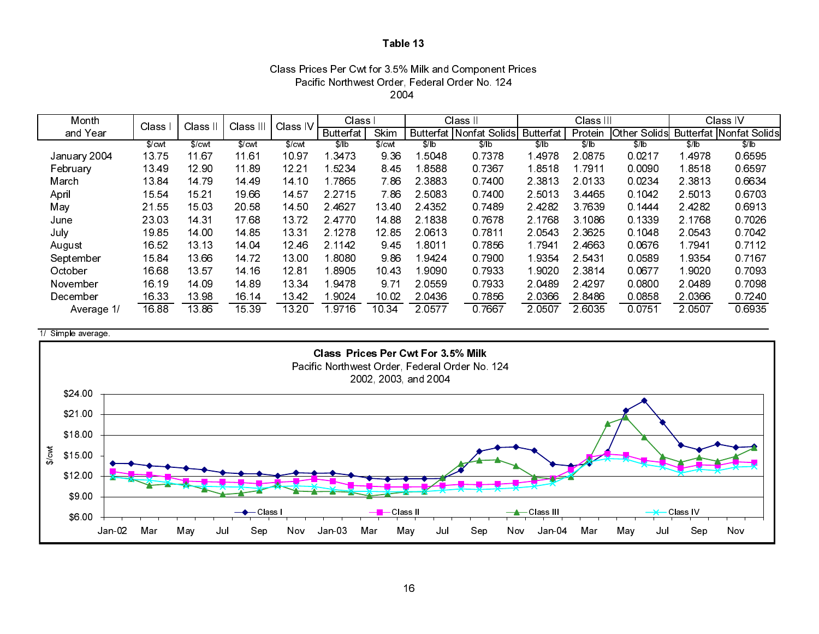| Class Prices Per Cwt for 3.5% Milk and Component Prices |
|---------------------------------------------------------|
| Pacific Northwest Order, Federal Order No. 124          |
| 2004                                                    |

| Month        | Class  | Class II | Class III | Class IV | Class I          |        |           | Class II                       | Class III |           |           | Class IV  |                                      |  |
|--------------|--------|----------|-----------|----------|------------------|--------|-----------|--------------------------------|-----------|-----------|-----------|-----------|--------------------------------------|--|
| and Year     |        |          |           |          | <b>Butterfat</b> | Skim   |           | <b>Butterfat Nonfat Solids</b> | Butterfat | Protein   |           |           | Other Solids Butterfat Nonfat Solids |  |
|              | \$/cwt | \$/cwt   | \$/cwt    | \$/cwt   | \$/ b            | \$/cwt | \$/ b     | \$/lb                          | \$/lb     | \$/lb     | \$/lb     | \$/lb     | \$/lb                                |  |
| January 2004 | 1375   | 11.67    | 11.61     | 10.97    | 13473            | 9 3 6  | 5048      | 0.7378                         | 4978      | 20875     | 0 0 2 1 7 | 14978     | 06595                                |  |
| February     | 13 49  | 12.90    | 11.89     | 12.21    | 15234            | 8.45   | 8588      | 0 7 3 6 7                      | 1.8518    | 1 7 9 1 1 | 0.0090    | 18518     | 06597                                |  |
| March        | 13 84  | 1479     | 14 49     | 14 10    | 17865            | 7 86   | 2.3883    | 0.7400                         | 2 3 8 1 3 | 2.0133    | 0.0234    | 2.3813    | 0.6634                               |  |
| April        | 15 54  | 15 21    | 1966      | 14 57    | 2 2 7 1 5        | 7 86   | 2 5083    | 0.7400                         | 2 5 0 1 3 | 3.4465    | 0.1042    | 2 5 0 1 3 | 0.6703                               |  |
| May          | 21 55  | 15 03    | 20 58     | 14 50    | 24627            | 13.40  | 2 4 3 5 2 | 07489                          | 24282     | 37639     | 0.1444    | 24282     | 0.6913                               |  |
| June         | 23 03  | 14 31    | 1768      | 1372     | 24770            | 14 88  | 2 1838    | 0.7678                         | 2.1768    | 3 1086    | 0 1339    | 2 1768    | 0.7026                               |  |
| July         | 1985   | 14 00    | 14 85     | 13 31    | 2 1 2 7 8        | 12.85  | 2 0 6 1 3 | 0.7811                         | 2 0 5 4 3 | 2 3 6 2 5 | 0.1048    | 2 0 5 4 3 | 0.7042                               |  |
| August       | 16 52  | 13 13    | 14 04     | 12.46    | 2.1142           | 945    | 1.8011    | 0.7856                         | 1 7941    | 24663     | 0.0676    | 1.7941    | 0.7112                               |  |
| September    | 1584   | 13.66    | 14 72     | 13.00    | 1.8080           | 986    | 1.9424    | 07900                          | 9354      | 2 5 4 3 1 | 0.0589    | 19354     | 0 7 1 6 7                            |  |
| October      | 16.68  | 13.57    | 14 16     | 1281     | 1.8905           | 10.43  | .9090     | 0.7933                         | 9020      | 2 3 8 1 4 | 0.0677    | 1.9020    | 0.7093                               |  |
| November     | 16 19  | 14 09    | 14 89     | 13 34    | 19478            | 9.71   | 2 0 5 5 9 | 0.7933                         | 2.0489    | 24297     | 0.0800    | 2 0 4 8 9 | 0.7098                               |  |
| December     | 16 33  | 13 98    | 16 14     | 1342     | 1 9024           | 10 02  | 2 04 36   | 0.7856                         | 2 0 3 6 6 | 28486     | 0.0858    | 2 0 3 6 6 | 07240                                |  |
| Average 1/   | 16.88  | 13.86    | 15 39     | 13.20    | 19716            | 10 34  | 2 0577    | 07667                          | 2 0 5 0 7 | 2 6035    | 0.0751    | 2 0 5 0 7 | 0 6 9 3 5                            |  |



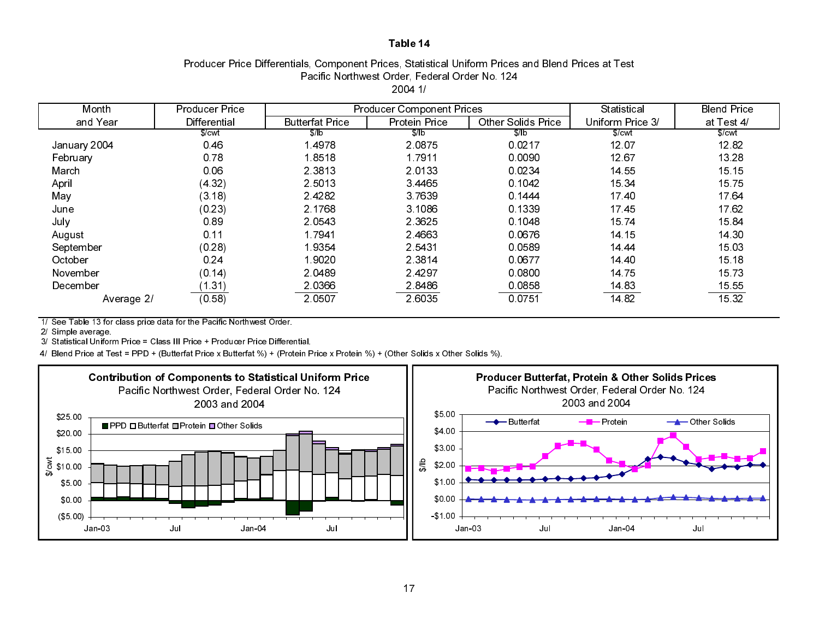### Producer Price Differentials, Component Prices, Statistical Uniform Prices and Blend Prices at Test Pacific Northwest Order, Federal Order No. 124 2004 1/

| Month        | <b>Producer Price</b> |                        | <b>Producer Component Prices</b> |                    | Statistical      | <b>Blend Price</b> |
|--------------|-----------------------|------------------------|----------------------------------|--------------------|------------------|--------------------|
| and Year     | <b>Differential</b>   | <b>Butterfat Price</b> | Protein Price                    | Other Solids Price | Uniform Price 3/ | at Test 4/         |
|              | \$/cut                | S/b                    | \$/lb                            | $$$ /lb            | \$/cut           | \$/cut             |
| January 2004 | 0.46                  | 4978                   | 2.0875                           | 0 0 2 1 7          | 12 07            | 1282               |
| February     | 0.78                  | 1.8518                 | 1.7911                           | 0.0090             | 12 67            | 13 28              |
| March        | 0.06                  | 2 3 8 1 3              | 20133                            | 0 0 2 3 4          | 14 55            | 15 15              |
| April        | (4.32)                | 2 5 0 1 3              | 3 4 4 6 5                        | 0 1042             | 15 34            | 15 75              |
| May          | (3.18)                | 24282                  | 3.7639                           | 0.1444             | 17.40            | 1764               |
| June         | (0.23)                | 2.1768                 | 3.1086                           | 0 1339             | 1745             | 1762               |
| July         | 0.89                  | 2.0543                 | 2.3625                           | 0.1048             | 15 74            | 1584               |
| August       | 0.11                  | 1.7941                 | 2.4663                           | 0 0 6 7 6          | 14 15            | 14 30              |
| September    | (0.28)                | 19354                  | 2 5 4 3 1                        | 0 0 5 8 9          | 14 44            | 15 03              |
| October      | 0.24                  | 19020                  | 2.3814                           | 0.0677             | 14 40            | 15 18              |
| November     | (0.14)                | 2.0489                 | 2.4297                           | 0.0800             | 14 75            | 15 73              |
| December     | (1.31)                | 2.0366                 | 28486                            | 0 0 8 5 8          | 14.83            | 15 55              |
| Average 2/   | (0.58)                | 2 0 5 0 7              | 2 6035                           | 0.0751             | 14.82            | 15 32              |

1/ See Table 13 for class price data for the Pacific Northwest Order.

2/ Simple average.

3/ Statistical Uniform Price = Class III Price + Producer Price Differential.

4/ Blend Price at Test = PPD + (Butterfat Price x Butterfat %) + (Protein Price x Protein %) + (Other Solids x Other Solids %).



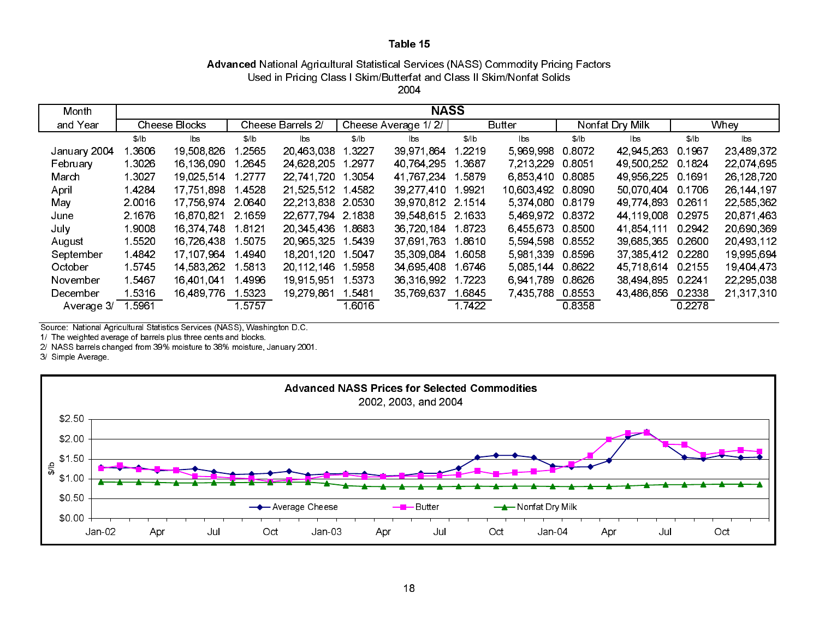# Advanced National Agricultural Statistical Services (NASS) Commodity Pricing Factors Used in Pricing Class I Skim/Butterfat and Class II Skim/Nonfat Solids

2004

| Month        | <b>NASS</b> |                      |        |                   |        |                     |        |                        |        |                 |        |            |
|--------------|-------------|----------------------|--------|-------------------|--------|---------------------|--------|------------------------|--------|-----------------|--------|------------|
| and Year     |             | <b>Cheese Blocks</b> |        | Cheese Barrels 2/ |        | Cheese Average 1/2/ |        | <b>Butter</b>          |        | Nonfat Dry Milk | Whey   |            |
|              | \$/ b       | lbs                  | \$/ b  | lbs               | \$/ b  | lbs                 | \$/ b  | $\mathsf{b}\mathsf{s}$ | \$/ b  | lbs             | \$/ b  | lbs.       |
| January 2004 | l 3606      | 19 508 826           | 2565   | 20,463,038        | 3227   | 39,971,864          | 1.2219 | 5 969 998              | 0.8072 | 42 945 263      | 0.1967 | 23,489,372 |
| February     | 1 3026      | 16.136.090           | 2645   | 24,628,205        | 2977   | 40 764 295          | 1.3687 | 7.213.229              | 0 8051 | 49,500,252      | 0 1824 | 22,074,695 |
| March        | 1 3027      | 19 025 514           | 2777   | 22 741 720        | l 3054 | 41 767 234          | 1.5879 | 6.853.410              | 0.8085 | 49 956 225      | 0.1691 | 26,128,720 |
| April        | 1.4284      | 17,751,898           | 4528   | 21,525,512        | 4582   | 39.277.410          | 1.9921 | 10 603 492             | 0.8090 | 50,070,404      | 0.1706 | 26 144 197 |
| May          | 2.0016      | 17.756.974           | 2.0640 | 22 213 838        | 2.0530 | 39,970,812 2.1514   |        | 5 374 080              | 0.8179 | 49 774 893      | 0 2611 | 22,585,362 |
| June         | 2 1676      | 16,870,821           | 2.1659 | 22 677 794        | 2 1838 | 39 548 615 2 1633   |        | 5469972                | 0.8372 | 44,119,008      | 0.2975 | 20 871 463 |
| July         | 1 9008      | 16.374.748           | 8121   | 20,345,436        | 8683   | 36,720,184          | 18723  | 6,455,673              | 0.8500 | 41,854,111      | 0.2942 | 20,690,369 |
| August       | 15520       | 16,726,438           | 5075   | 20 965 325        | 5439   | 37,691,763          | 1.8610 | 5 5 9 4 5 9 8          | 0.8552 | 39,685,365      | 0.2600 | 20,493,112 |
| September    | 14842       | 17,107,964           | 4940   | 18,201,120        | l 5047 | 35 309 084          | 1.6058 | 5 981 339              | 0.8596 | 37 385 412      | 0.2280 | 19,995,694 |
| October      | 1.5745      | 14.583.262           | 5813   | 20 112 146        | 5958   | 34 695 408          | 1.6746 | 5 085 144              | 0.8622 | 45 718 614      | 0.2155 | 19,404,473 |
| November     | 1.5467      | 16,401,041           | 4996   | 19 915 951        | 5373   | 36,316,992          | 1.7223 | 6941789                | 0.8626 | 38 494 895      | 0.2241 | 22,295,038 |
| December     | 15316       | 16,489,776           | 5323   | 19 279 861        | l 5481 | 35 769 637          | 1.6845 | 7 435 788              | 0.8553 | 43,486,856      | 0.2338 | 21,317,310 |
| Average 3/   | 5961        |                      | 5757   |                   | l 6016 |                     | 17422  |                        | 0.8358 |                 | 0.2278 |            |

Source: National Agricultural Statistics Services (NASS), Washington D.C.

1/ The weighted average of barrels plus three cents and blocks.

2/ NASS barrels changed from 39% moisture to 38% moisture, January 2001.

3/ Simple Average.